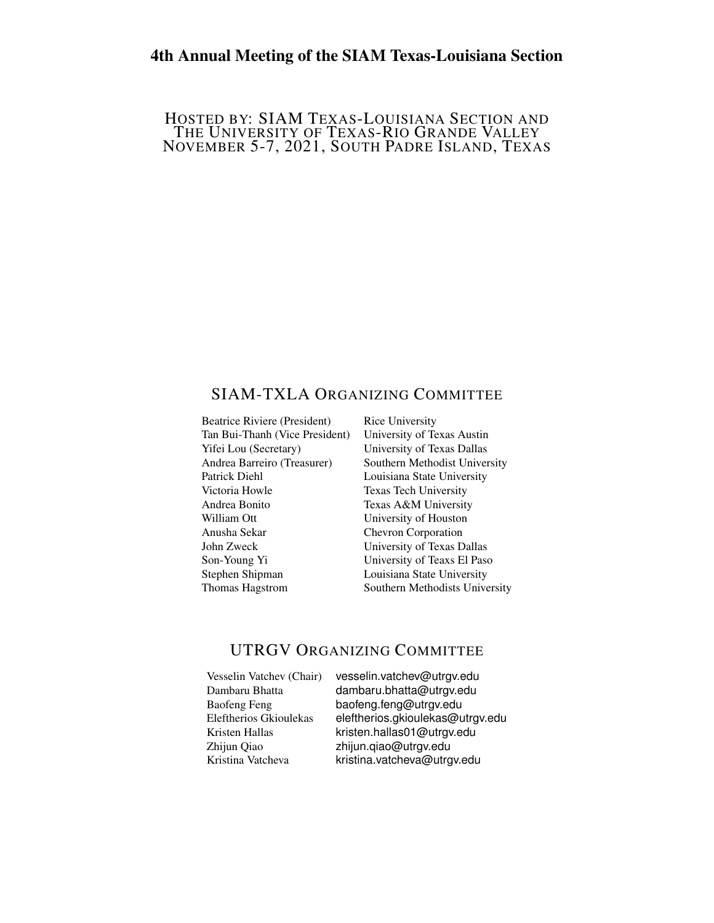# 4th Annual Meeting of the SIAM Texas-Louisiana Section

#### HOSTED BY: SIAM TEXAS-LOUISIANA SECTION AND THE UNIVERSITY OF TEXAS-RIO GRANDE VALLEY NOVEMBER 5-7, 2021, SOUTH PADRE ISLAND, TEXAS

## SIAM-TXLA ORGANIZING COMMITTEE

Beatrice Riviere (President) Rice University Tan Bui-Thanh (Vice President) University of Texas Austin Yifei Lou (Secretary) University of Texas Dallas Patrick Diehl Louisiana State University Victoria Howle Texas Tech University Andrea Bonito Texas A&M University William Ott **University of Houston** Anusha Sekar Chevron Corporation John Zweck University of Texas Dallas Son-Young Yi University of Teaxs El Paso Stephen Shipman Louisiana State University

Andrea Barreiro (Treasurer) Southern Methodist University Thomas Hagstrom Southern Methodists University

## UTRGV ORGANIZING COMMITTEE

| Vesselin Vatchev (Chair) |
|--------------------------|
| Dambaru Bhatta           |
| <b>Baofeng Feng</b>      |
| Eleftherios Gkioulekas   |
| Kristen Hallas           |
| Zhijun Qiao              |
| Kristina Vatcheva        |

) vesselin.vatchev@utrgv.edu dambaru.bhatta@utrgv.edu baofeng.feng@utrgv.edu eleftherios.gkioulekas@utrgv.edu kristen.hallas01@utrgv.edu zhijun.qiao@utrgv.edu kristina vatcheva@utrgv.edu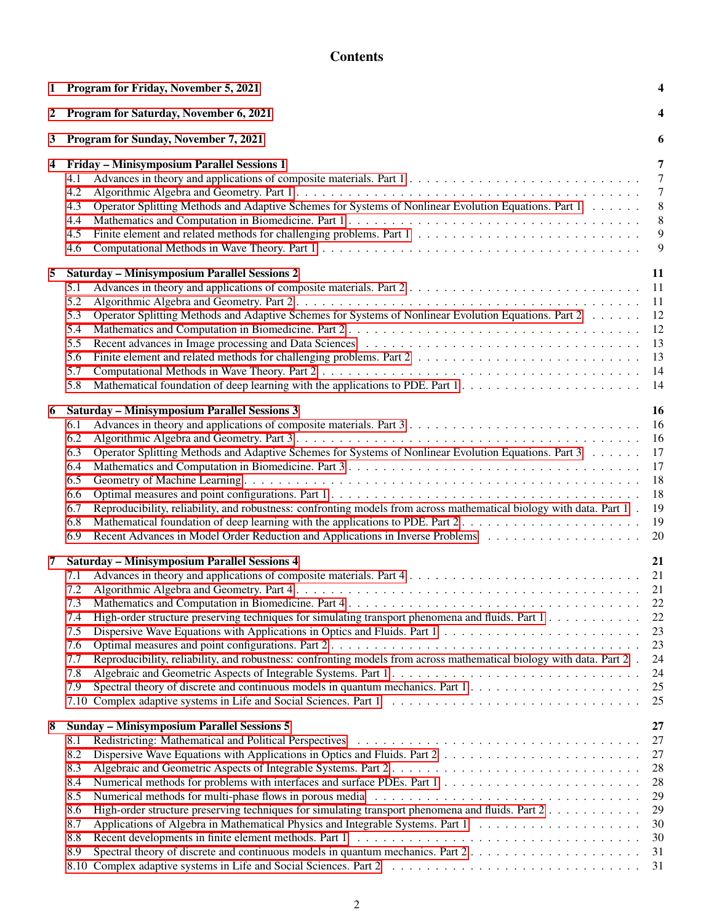# **Contents**

| 1 | Program for Friday, November 5, 2021                                                                                                                                                                                                                                                                                                                                                                | 4                                                           |
|---|-----------------------------------------------------------------------------------------------------------------------------------------------------------------------------------------------------------------------------------------------------------------------------------------------------------------------------------------------------------------------------------------------------|-------------------------------------------------------------|
| 2 | Program for Saturday, November 6, 2021                                                                                                                                                                                                                                                                                                                                                              | 4                                                           |
| 3 | Program for Sunday, November 7, 2021                                                                                                                                                                                                                                                                                                                                                                | 6                                                           |
| 4 | Friday - Minisymposium Parallel Sessions 1<br>4.1<br>4.2<br>Operator Splitting Methods and Adaptive Schemes for Systems of Nonlinear Evolution Equations. Part 1<br>4.3<br>4.4<br>4.5<br>4.6                                                                                                                                                                                                        | 7<br>$7\phantom{.0}$<br>$7\phantom{.0}$<br>8<br>8<br>9<br>9 |
| 5 | <b>Saturday - Minisymposium Parallel Sessions 2</b>                                                                                                                                                                                                                                                                                                                                                 | 11                                                          |
|   | Advances in theory and applications of composite materials. Part 2<br>5.1<br>5.2<br>Operator Splitting Methods and Adaptive Schemes for Systems of Nonlinear Evolution Equations. Part 2<br>5.3<br>5.4<br>5.5<br>5.6<br>5.7<br>Mathematical foundation of deep learning with the applications to PDE. Part 1<br>5.8                                                                                 | 11<br>11<br>12<br>12<br>13<br>13<br>14<br>14                |
| 6 | <b>Saturday - Minisymposium Parallel Sessions 3</b>                                                                                                                                                                                                                                                                                                                                                 | 16                                                          |
|   | 6.1<br>6.2<br>Operator Splitting Methods and Adaptive Schemes for Systems of Nonlinear Evolution Equations. Part 3<br>6.3<br>6.4<br>6.5<br>6.6<br>Reproducibility, reliability, and robustness: confronting models from across mathematical biology with data. Part 1.<br>6.7<br>Mathematical foundation of deep learning with the applications to PDE. Part 2<br>6.8<br>6.9                        | 16<br>16<br>17<br>17<br>18<br>18<br>19<br>19<br>20          |
| 7 | <b>Saturday - Minisymposium Parallel Sessions 4</b>                                                                                                                                                                                                                                                                                                                                                 | 21                                                          |
|   | 7.1<br>7.2<br>7.3<br>High-order structure preserving techniques for simulating transport phenomena and fluids. Part $1, \ldots, \ldots, \ldots$<br>7.4<br>7.5<br>7.6<br>Reproducibility, reliability, and robustness: confronting models from across mathematical biology with data. Part 2.<br>7.7<br>7.8<br>Spectral theory of discrete and continuous models in quantum mechanics. Part 1<br>7.9 | 21<br>21<br>22<br>22<br>23<br>23<br>24<br>24<br>25<br>25    |
| 8 | <b>Sunday - Minisymposium Parallel Sessions 5</b>                                                                                                                                                                                                                                                                                                                                                   | 27                                                          |
|   | 8.1<br>Dispersive Wave Equations with Applications in Optics and Fluids. Part 2<br>8.2<br>8.3<br>8.4<br>8.5<br>High-order structure preserving techniques for simulating transport phenomena and fluids. Part 2<br>8.6<br>8.7<br>8.8<br>Spectral theory of discrete and continuous models in quantum mechanics. Part 2<br>8.9                                                                       | 27<br>27<br>28<br>28<br>29<br>29<br>30<br>30<br>31          |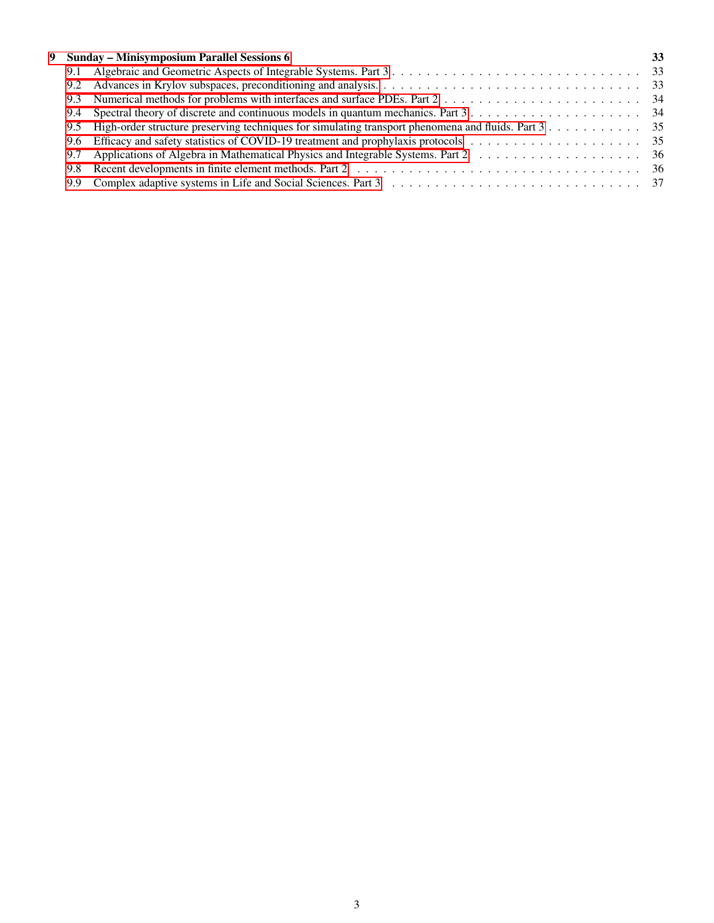|     | 9 Sunday - Minisymposium Parallel Sessions 6 | 33 |
|-----|----------------------------------------------|----|
|     |                                              |    |
|     |                                              |    |
|     |                                              |    |
|     |                                              |    |
|     |                                              |    |
|     |                                              |    |
|     |                                              |    |
| 9.8 |                                              |    |
|     |                                              |    |
|     |                                              |    |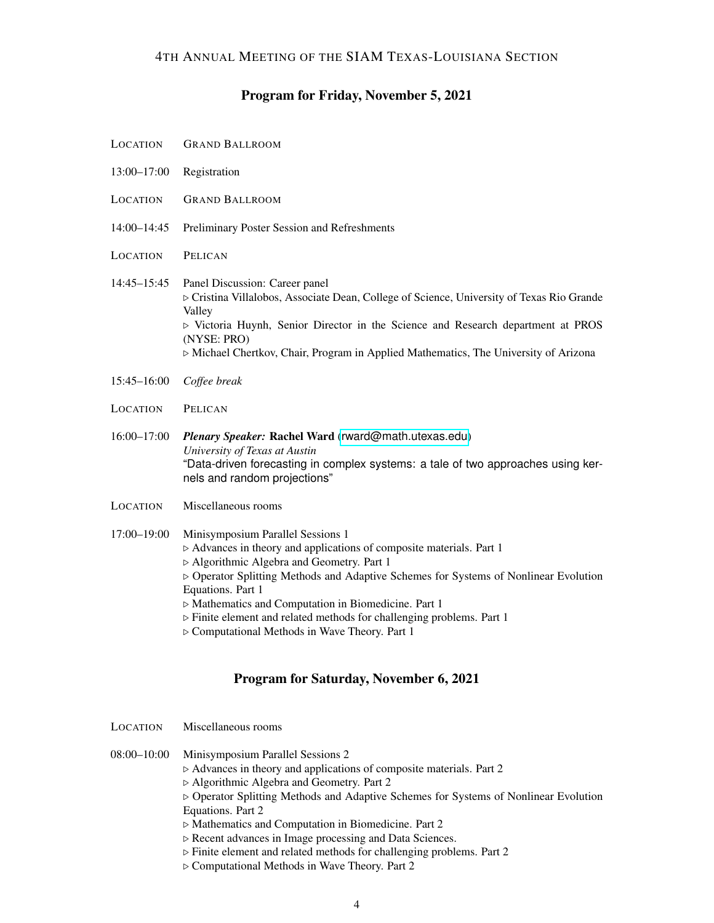# Program for Friday, November 5, 2021

<span id="page-3-0"></span>

| LOCATION        | <b>GRAND BALLROOM</b>                                                                                                                                                                                                                                                                                                                                                                                                                                                  |
|-----------------|------------------------------------------------------------------------------------------------------------------------------------------------------------------------------------------------------------------------------------------------------------------------------------------------------------------------------------------------------------------------------------------------------------------------------------------------------------------------|
| $13:00 - 17:00$ | Registration                                                                                                                                                                                                                                                                                                                                                                                                                                                           |
| LOCATION        | <b>GRAND BALLROOM</b>                                                                                                                                                                                                                                                                                                                                                                                                                                                  |
| $14:00 - 14:45$ | Preliminary Poster Session and Refreshments                                                                                                                                                                                                                                                                                                                                                                                                                            |
| LOCATION        | PELICAN                                                                                                                                                                                                                                                                                                                                                                                                                                                                |
| $14:45 - 15:45$ | Panel Discussion: Career panel<br>> Cristina Villalobos, Associate Dean, College of Science, University of Texas Rio Grande<br>Valley<br>$\triangleright$ Victoria Huynh, Senior Director in the Science and Research department at PROS<br>(NYSE: PRO)<br>$\triangleright$ Michael Chertkov, Chair, Program in Applied Mathematics, The University of Arizona                                                                                                         |
| 15:45-16:00     | Coffee break                                                                                                                                                                                                                                                                                                                                                                                                                                                           |
| <b>LOCATION</b> | PELICAN                                                                                                                                                                                                                                                                                                                                                                                                                                                                |
| 16:00-17:00     | Plenary Speaker: Rachel Ward (rward@math.utexas.edu)<br>University of Texas at Austin<br>"Data-driven forecasting in complex systems: a tale of two approaches using ker-<br>nels and random projections"                                                                                                                                                                                                                                                              |
| <b>LOCATION</b> | Miscellaneous rooms                                                                                                                                                                                                                                                                                                                                                                                                                                                    |
| 17:00-19:00     | Minisymposium Parallel Sessions 1<br>> Advances in theory and applications of composite materials. Part 1<br>▷ Algorithmic Algebra and Geometry. Part 1<br>▷ Operator Splitting Methods and Adaptive Schemes for Systems of Nonlinear Evolution<br>Equations. Part 1<br>> Mathematics and Computation in Biomedicine. Part 1<br>> Finite element and related methods for challenging problems. Part 1<br>$\triangleright$ Computational Methods in Wave Theory. Part 1 |

# Program for Saturday, November 6, 2021

<span id="page-3-1"></span>

| LOCATION        | Miscellaneous rooms                                                                                                                                                                                                                                                                                                                                                                                                                                                                                                                          |
|-----------------|----------------------------------------------------------------------------------------------------------------------------------------------------------------------------------------------------------------------------------------------------------------------------------------------------------------------------------------------------------------------------------------------------------------------------------------------------------------------------------------------------------------------------------------------|
| $08:00 - 10:00$ | Minisymposium Parallel Sessions 2<br>$\triangleright$ Advances in theory and applications of composite materials. Part 2<br>$\triangleright$ Algorithmic Algebra and Geometry. Part 2<br>$\triangleright$ Operator Splitting Methods and Adaptive Schemes for Systems of Nonlinear Evolution<br>Equations. Part 2<br>$\triangleright$ Mathematics and Computation in Biomedicine. Part 2<br>▷ Recent advances in Image processing and Data Sciences.<br>$\triangleright$ Finite element and related methods for challenging problems. Part 2 |

. Computational Methods in Wave Theory. Part 2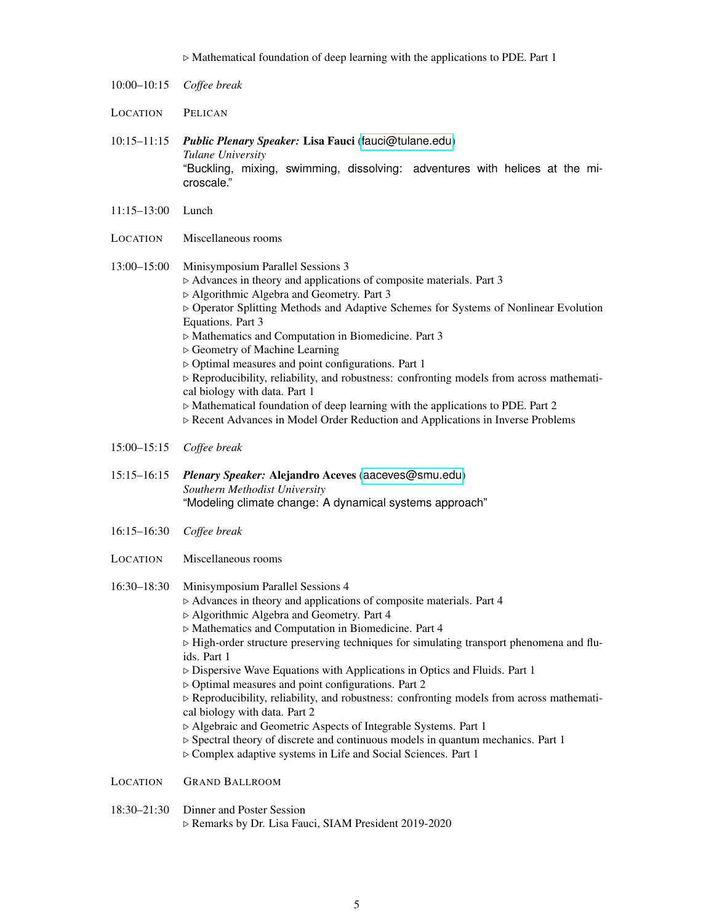|                 | $\triangleright$ Mathematical foundation of deep learning with the applications to PDE. Part 1                                                                                                                                                                                                                                                                                                                                                                                                                                                                                                                                                                                                                                                                                                                                                                                                    |
|-----------------|---------------------------------------------------------------------------------------------------------------------------------------------------------------------------------------------------------------------------------------------------------------------------------------------------------------------------------------------------------------------------------------------------------------------------------------------------------------------------------------------------------------------------------------------------------------------------------------------------------------------------------------------------------------------------------------------------------------------------------------------------------------------------------------------------------------------------------------------------------------------------------------------------|
| $10:00 - 10:15$ | Coffee break                                                                                                                                                                                                                                                                                                                                                                                                                                                                                                                                                                                                                                                                                                                                                                                                                                                                                      |
| LOCATION        | PELICAN                                                                                                                                                                                                                                                                                                                                                                                                                                                                                                                                                                                                                                                                                                                                                                                                                                                                                           |
| $10:15 - 11:15$ | Public Plenary Speaker: Lisa Fauci (fauci@tulane.edu)<br>Tulane University<br>"Buckling, mixing, swimming, dissolving: adventures with helices at the mi-<br>croscale."                                                                                                                                                                                                                                                                                                                                                                                                                                                                                                                                                                                                                                                                                                                           |
| $11:15 - 13:00$ | Lunch                                                                                                                                                                                                                                                                                                                                                                                                                                                                                                                                                                                                                                                                                                                                                                                                                                                                                             |
| LOCATION        | Miscellaneous rooms                                                                                                                                                                                                                                                                                                                                                                                                                                                                                                                                                                                                                                                                                                                                                                                                                                                                               |
| $13:00 - 15:00$ | Minisymposium Parallel Sessions 3<br>> Advances in theory and applications of composite materials. Part 3<br>▷ Algorithmic Algebra and Geometry. Part 3<br>▷ Operator Splitting Methods and Adaptive Schemes for Systems of Nonlinear Evolution<br>Equations. Part 3<br>$\triangleright$ Mathematics and Computation in Biomedicine. Part 3<br>▷ Geometry of Machine Learning<br>$\triangleright$ Optimal measures and point configurations. Part 1<br>> Reproducibility, reliability, and robustness: confronting models from across mathemati-<br>cal biology with data. Part 1<br>$\triangleright$ Mathematical foundation of deep learning with the applications to PDE. Part 2<br>Recent Advances in Model Order Reduction and Applications in Inverse Problems                                                                                                                              |
| $15:00 - 15:15$ | Coffee break                                                                                                                                                                                                                                                                                                                                                                                                                                                                                                                                                                                                                                                                                                                                                                                                                                                                                      |
| $15:15 - 16:15$ | Plenary Speaker: Alejandro Aceves (aaceves@smu.edu)<br>Southern Methodist University<br>"Modeling climate change: A dynamical systems approach"                                                                                                                                                                                                                                                                                                                                                                                                                                                                                                                                                                                                                                                                                                                                                   |
| $16:15 - 16:30$ | Coffee break                                                                                                                                                                                                                                                                                                                                                                                                                                                                                                                                                                                                                                                                                                                                                                                                                                                                                      |
| LOCATION        | Miscellaneous rooms                                                                                                                                                                                                                                                                                                                                                                                                                                                                                                                                                                                                                                                                                                                                                                                                                                                                               |
| 16:30-18:30     | Minisymposium Parallel Sessions 4<br>$\triangleright$ Advances in theory and applications of composite materials. Part 4<br>▷ Algorithmic Algebra and Geometry. Part 4<br>> Mathematics and Computation in Biomedicine. Part 4<br>> High-order structure preserving techniques for simulating transport phenomena and flu-<br>ids. Part 1<br>$\triangleright$ Dispersive Wave Equations with Applications in Optics and Fluids. Part 1<br>$\triangleright$ Optimal measures and point configurations. Part 2<br>$\triangleright$ Reproducibility, reliability, and robustness: confronting models from across mathemati-<br>cal biology with data. Part 2<br>> Algebraic and Geometric Aspects of Integrable Systems. Part 1<br>$\triangleright$ Spectral theory of discrete and continuous models in quantum mechanics. Part 1<br>▷ Complex adaptive systems in Life and Social Sciences. Part 1 |
| LOCATION        | <b>GRAND BALLROOM</b>                                                                                                                                                                                                                                                                                                                                                                                                                                                                                                                                                                                                                                                                                                                                                                                                                                                                             |
| $18:30 - 21:30$ | Dinner and Poster Session<br>⊳ Remarks by Dr. Lisa Fauci, SIAM President 2019-2020                                                                                                                                                                                                                                                                                                                                                                                                                                                                                                                                                                                                                                                                                                                                                                                                                |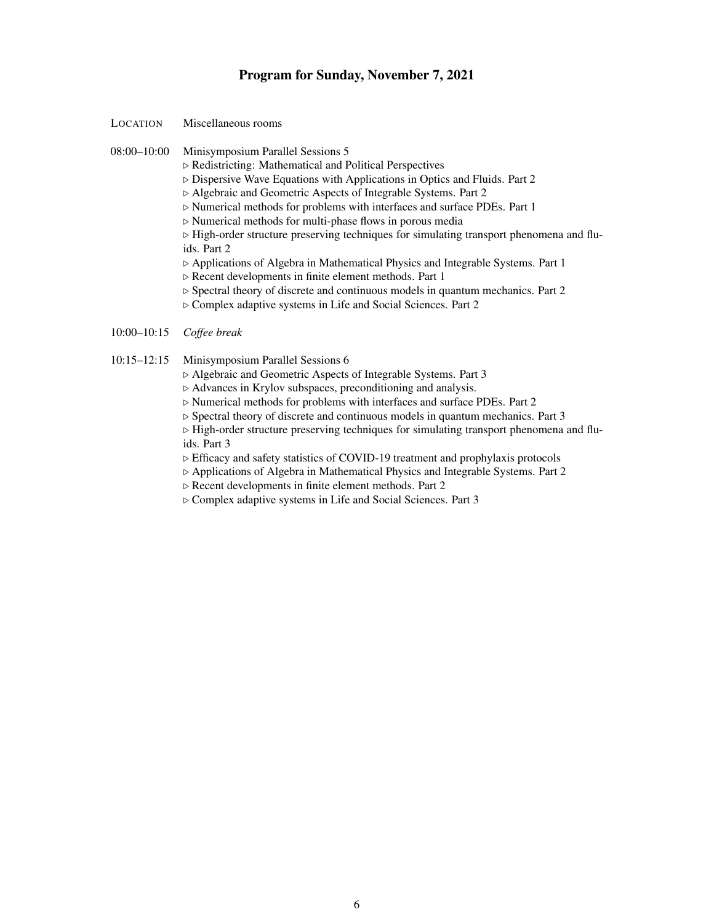#### Program for Sunday, November 7, 2021

- <span id="page-5-0"></span>LOCATION Miscellaneous rooms
- 08:00–10:00 Minisymposium Parallel Sessions 5
	- $\triangleright$  Redistricting: Mathematical and Political Perspectives
	- $\triangleright$  Dispersive Wave Equations with Applications in Optics and Fluids. Part 2
	- . Algebraic and Geometric Aspects of Integrable Systems. Part 2
	- . Numerical methods for problems with interfaces and surface PDEs. Part 1
	- $\triangleright$  Numerical methods for multi-phase flows in porous media
	- $\triangleright$  High-order structure preserving techniques for simulating transport phenomena and fluids. Part 2
	- . Applications of Algebra in Mathematical Physics and Integrable Systems. Part 1
	- $\triangleright$  Recent developments in finite element methods. Part 1
	- $\triangleright$  Spectral theory of discrete and continuous models in quantum mechanics. Part 2
	- . Complex adaptive systems in Life and Social Sciences. Part 2
- 10:00–10:15 *Coffee break*

#### 10:15–12:15 Minisymposium Parallel Sessions 6

- . Algebraic and Geometric Aspects of Integrable Systems. Part 3
- $\triangleright$  Advances in Krylov subspaces, preconditioning and analysis.
- $\triangleright$  Numerical methods for problems with interfaces and surface PDEs. Part 2
- $\triangleright$  Spectral theory of discrete and continuous models in quantum mechanics. Part 3

 $\triangleright$  High-order structure preserving techniques for simulating transport phenomena and fluids. Part 3

- $\triangleright$  Efficacy and safety statistics of COVID-19 treatment and prophylaxis protocols
- . Applications of Algebra in Mathematical Physics and Integrable Systems. Part 2
- $\triangleright$  Recent developments in finite element methods. Part 2
- . Complex adaptive systems in Life and Social Sciences. Part 3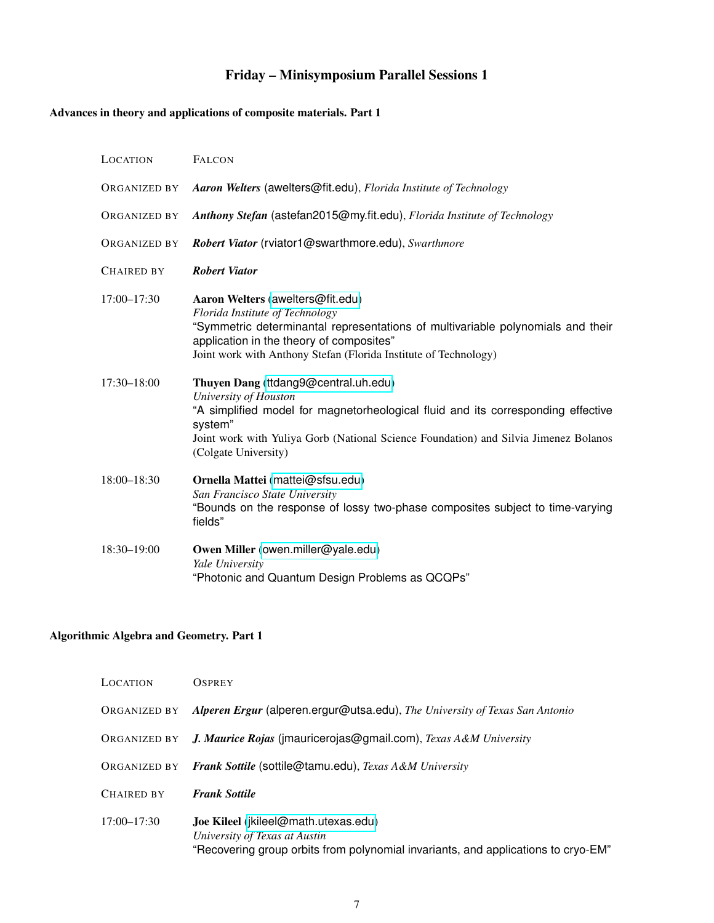# Friday – Minisymposium Parallel Sessions 1

# <span id="page-6-1"></span><span id="page-6-0"></span>Advances in theory and applications of composite materials. Part 1

| LOCATION            | <b>FALCON</b>                                                                                                                                                                                                                                                                |
|---------------------|------------------------------------------------------------------------------------------------------------------------------------------------------------------------------------------------------------------------------------------------------------------------------|
| ORGANIZED BY        | Aaron Welters (awelters@fit.edu), Florida Institute of Technology                                                                                                                                                                                                            |
| <b>ORGANIZED BY</b> | Anthony Stefan (astefan2015@my.fit.edu), Florida Institute of Technology                                                                                                                                                                                                     |
| <b>ORGANIZED BY</b> | Robert Viator (rviator1@swarthmore.edu), Swarthmore                                                                                                                                                                                                                          |
| <b>CHAIRED BY</b>   | <b>Robert Viator</b>                                                                                                                                                                                                                                                         |
| $17:00 - 17:30$     | Aaron Welters (awelters@fit.edu)<br>Florida Institute of Technology<br>"Symmetric determinantal representations of multivariable polynomials and their<br>application in the theory of composites"<br>Joint work with Anthony Stefan (Florida Institute of Technology)       |
| $17:30 - 18:00$     | Thuyen Dang (ttdang9@central.uh.edu)<br>University of Houston<br>"A simplified model for magnetorheological fluid and its corresponding effective<br>system"<br>Joint work with Yuliya Gorb (National Science Foundation) and Silvia Jimenez Bolanos<br>(Colgate University) |
| $18:00 - 18:30$     | Ornella Mattei (mattei@sfsu.edu)<br>San Francisco State University<br>"Bounds on the response of lossy two-phase composites subject to time-varying<br>fields"                                                                                                               |
| 18:30-19:00         | Owen Miller (owen.miller@yale.edu)<br>Yale University<br>"Photonic and Quantum Design Problems as QCQPs"                                                                                                                                                                     |

## <span id="page-6-2"></span>Algorithmic Algebra and Geometry. Part 1

| <b>LOCATION</b> | <b>OSPREY</b>                                                                                                                                              |
|-----------------|------------------------------------------------------------------------------------------------------------------------------------------------------------|
| ORGANIZED BY    | Alperen Ergur (alperen.ergur@utsa.edu), The University of Texas San Antonio                                                                                |
| ORGANIZED BY    | J. Maurice Rojas (jmauricerojas@gmail.com), Texas A&M University                                                                                           |
| ORGANIZED BY    | <b>Frank Sottile (sottile@tamu.edu), Texas A&amp;M University</b>                                                                                          |
| CHAIRED BY      | <b>Frank Sottile</b>                                                                                                                                       |
| $17:00 - 17:30$ | Joe Kileel (jkileel@math.utexas.edu)<br>University of Texas at Austin<br>"Recovering group orbits from polynomial invariants, and applications to cryo-EM" |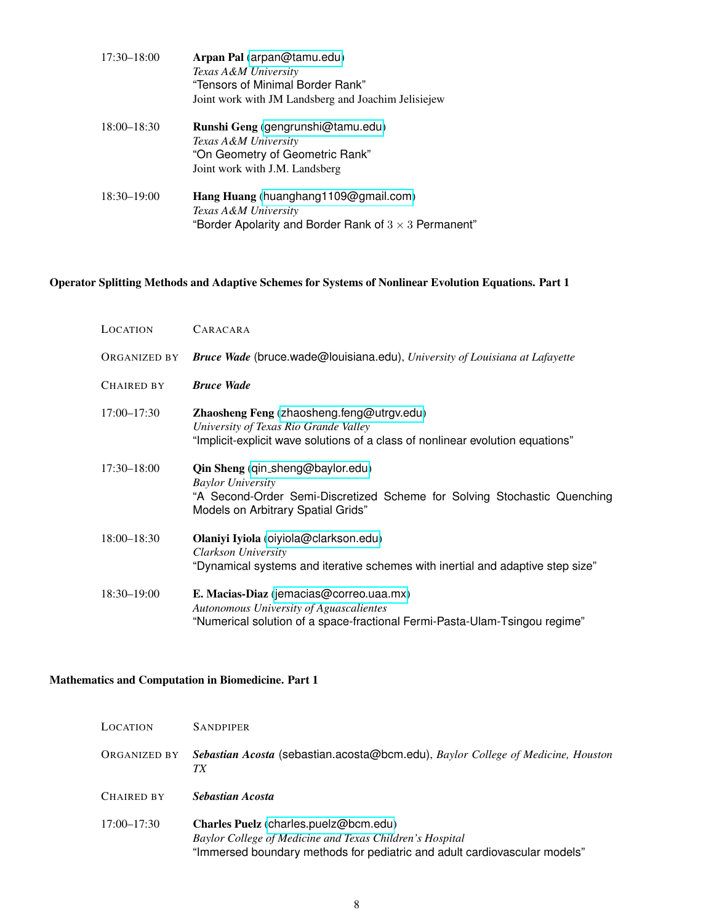| $17:30 - 18:00$ | Arpan Pal (arpan@tamu.edu)<br>Texas A&M University<br>"Tensors of Minimal Border Rank"<br>Joint work with JM Landsberg and Joachim Jelisiejew |
|-----------------|-----------------------------------------------------------------------------------------------------------------------------------------------|
| $18:00 - 18:30$ | Runshi Geng (gengrunshi@tamu.edu)<br>Texas A&M University<br>"On Geometry of Geometric Rank"<br>Joint work with J.M. Landsberg                |
| $18:30 - 19:00$ | Hang Huang (huanghang1109@gmail.com)<br>Texas A&M University<br>"Border Apolarity and Border Rank of $3 \times 3$ Permanent"                  |

# <span id="page-7-0"></span>Operator Splitting Methods and Adaptive Schemes for Systems of Nonlinear Evolution Equations. Part 1

| LOCATION        | CARACARA                                                                                                                                                                       |
|-----------------|--------------------------------------------------------------------------------------------------------------------------------------------------------------------------------|
| ORGANIZED BY    | <b>Bruce Wade</b> (bruce wade@louisiana.edu), University of Louisiana at Lafayette                                                                                             |
| CHAIRED BY      | <b>Bruce Wade</b>                                                                                                                                                              |
| $17:00 - 17:30$ | Zhaosheng Feng (zhaosheng.feng@utrgv.edu)<br>University of Texas Rio Grande Valley<br>"Implicit-explicit wave solutions of a class of nonlinear evolution equations"           |
| $17:30 - 18:00$ | Qin Sheng (qin_sheng@baylor.edu)<br><b>Baylor University</b><br>"A Second-Order Semi-Discretized Scheme for Solving Stochastic Quenching<br>Models on Arbitrary Spatial Grids" |
| $18:00 - 18:30$ | Olaniyi Iyiola (oiyiola@clarkson.edu)<br>Clarkson University<br>"Dynamical systems and iterative schemes with inertial and adaptive step size"                                 |
| $18:30 - 19:00$ | E. Macias-Diaz (jemacias@correo.uaa.mx)<br>Autonomous University of Aguascalientes<br>"Numerical solution of a space-fractional Fermi-Pasta-Ulam-Tsingou regime"               |

#### <span id="page-7-1"></span>Mathematics and Computation in Biomedicine. Part 1

| LOCATION        | <b>SANDPIPER</b>                                                                                                                                                               |
|-----------------|--------------------------------------------------------------------------------------------------------------------------------------------------------------------------------|
| ORGANIZED BY    | Sebastian Acosta (sebastian.acosta@bcm.edu), Baylor College of Medicine, Houston<br>TХ                                                                                         |
| CHAIRED BY      | Sebastian Acosta                                                                                                                                                               |
| $17:00 - 17:30$ | Charles Puelz (charles.puelz@bcm.edu)<br>Baylor College of Medicine and Texas Children's Hospital<br>"Immersed boundary methods for pediatric and adult cardiovascular models" |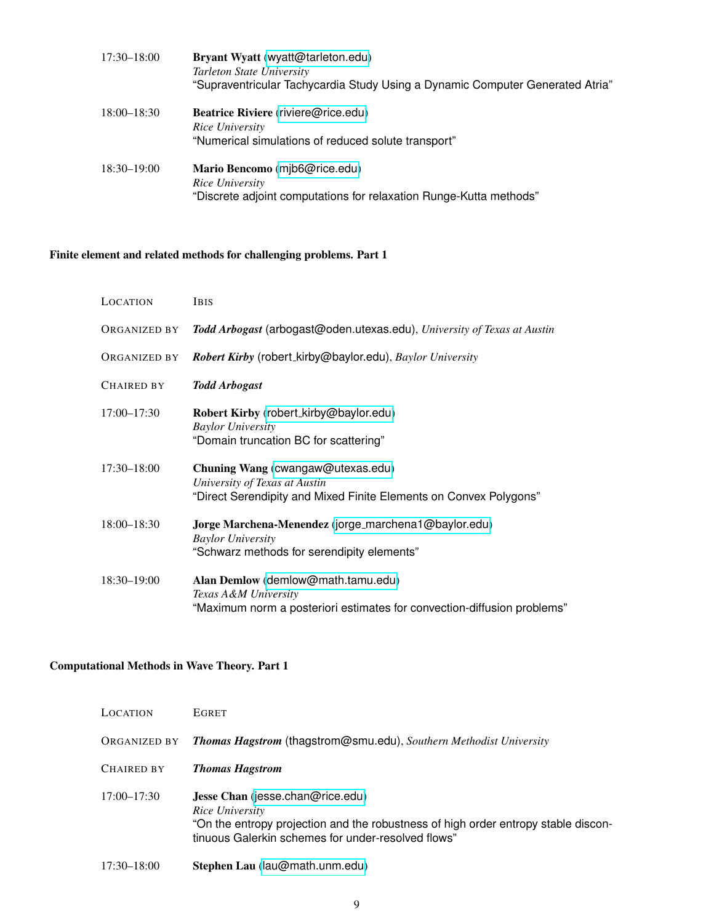| $17:30 - 18:00$ | Bryant Wyatt (wyatt@tarleton.edu)<br>Tarleton State University<br>"Supraventricular Tachycardia Study Using a Dynamic Computer Generated Atria" |
|-----------------|-------------------------------------------------------------------------------------------------------------------------------------------------|
| $18:00 - 18:30$ | Beatrice Riviere (riviere@rice.edu)<br>Rice University<br>"Numerical simulations of reduced solute transport"                                   |
| $18:30 - 19:00$ | Mario Bencomo (mib6@rice.edu)<br>Rice University<br>"Discrete adjoint computations for relaxation Runge-Kutta methods"                          |

# <span id="page-8-0"></span>Finite element and related methods for challenging problems. Part 1

| LOCATION          | <b>IBIS</b>                                                                                                                             |
|-------------------|-----------------------------------------------------------------------------------------------------------------------------------------|
| ORGANIZED BY      | Todd Arbogast (arbogast@oden.utexas.edu), University of Texas at Austin                                                                 |
| ORGANIZED BY      | Robert Kirby (robert_kirby@baylor.edu), Baylor University                                                                               |
| <b>CHAIRED BY</b> | <b>Todd Arbogast</b>                                                                                                                    |
| $17:00 - 17:30$   | Robert Kirby (robert_kirby@baylor.edu)<br><b>Baylor University</b><br>"Domain truncation BC for scattering"                             |
| $17:30 - 18:00$   | Chuning Wang (cwangaw@utexas.edu)<br>University of Texas at Austin<br>"Direct Serendipity and Mixed Finite Elements on Convex Polygons" |
| $18:00 - 18:30$   | Jorge Marchena-Menendez (jorge_marchena1@baylor.edu)<br><b>Baylor University</b><br>"Schwarz methods for serendipity elements"          |
| 18:30-19:00       | Alan Demlow (demlow@math.tamu.edu)<br>Texas A&M University<br>"Maximum norm a posteriori estimates for convection-diffusion problems"   |

### <span id="page-8-1"></span>Computational Methods in Wave Theory. Part 1

| LOCATION        | <b>EGRET</b>                                                                                                                                                                                    |
|-----------------|-------------------------------------------------------------------------------------------------------------------------------------------------------------------------------------------------|
| ORGANIZED BY    | Thomas Hagstrom (thagstrom@smu.edu), Southern Methodist University                                                                                                                              |
| CHAIRED BY      | <b>Thomas Hagstrom</b>                                                                                                                                                                          |
| $17:00 - 17:30$ | Jesse Chan (jesse.chan@rice.edu)<br>Rice University<br>"On the entropy projection and the robustness of high order entropy stable discon-<br>tinuous Galerkin schemes for under-resolved flows" |
| $17:30 - 18:00$ | Stephen Lau (lau@math.unm.edu)                                                                                                                                                                  |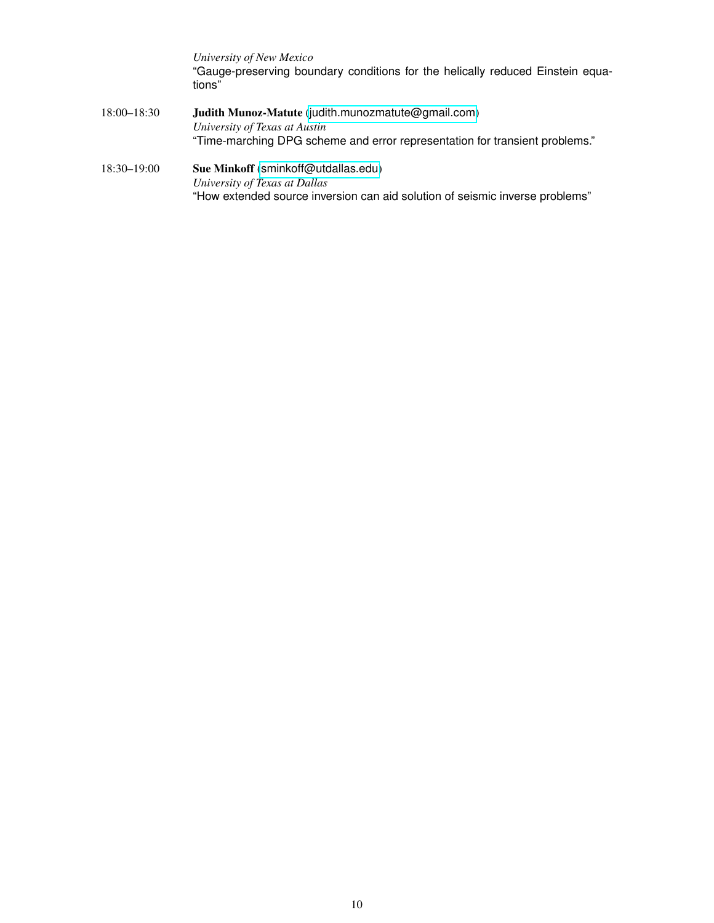*University of New Mexico* "Gauge-preserving boundary conditions for the helically reduced Einstein equations"

- 18:00–18:30 Judith Munoz-Matute ([judith.munozmatute@gmail.com](mailto:judith.munozmatute@gmail.com)) *University of Texas at Austin* "Time-marching DPG scheme and error representation for transient problems."
- 18:30–19:00 Sue Minkoff ([sminkoff@utdallas.edu](mailto:sminkoff@utdallas.edu)) *University of Texas at Dallas* "How extended source inversion can aid solution of seismic inverse problems"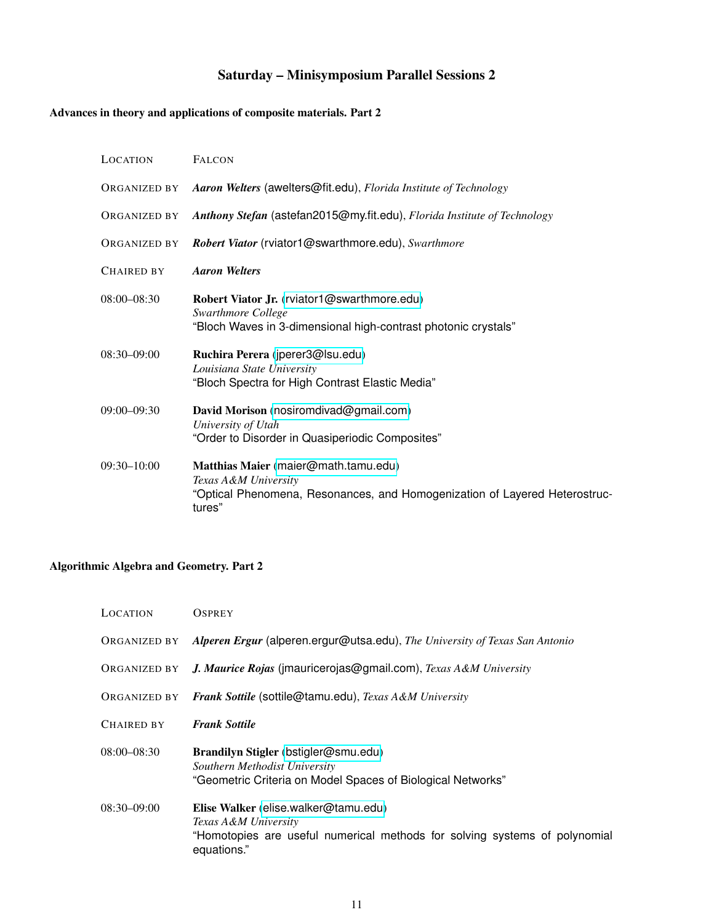# Saturday – Minisymposium Parallel Sessions 2

# <span id="page-10-1"></span><span id="page-10-0"></span>Advances in theory and applications of composite materials. Part 2

| LOCATION          | <b>FALCON</b>                                                                                                                                        |
|-------------------|------------------------------------------------------------------------------------------------------------------------------------------------------|
| ORGANIZED BY      | Aaron Welters (awelters@fit.edu), Florida Institute of Technology                                                                                    |
| ORGANIZED BY      | Anthony Stefan (astefan2015@my.fit.edu), Florida Institute of Technology                                                                             |
| ORGANIZED BY      | Robert Viator (rviator1@swarthmore.edu), Swarthmore                                                                                                  |
| <b>CHAIRED BY</b> | <b>Aaron Welters</b>                                                                                                                                 |
| $08:00 - 08:30$   | Robert Viator Jr. (rviator1@swarthmore.edu)<br>Swarthmore College<br>"Bloch Waves in 3-dimensional high-contrast photonic crystals"                  |
| $08:30 - 09:00$   | Ruchira Perera (jperer3@lsu.edu)<br>Louisiana State University<br>"Bloch Spectra for High Contrast Elastic Media"                                    |
| $09:00 - 09:30$   | David Morison (nosiromdivad@gmail.com)<br>University of Utah<br>"Order to Disorder in Quasiperiodic Composites"                                      |
| $09:30-10:00$     | Matthias Maier (maier@math.tamu.edu)<br>Texas A&M University<br>"Optical Phenomena, Resonances, and Homogenization of Layered Heterostruc-<br>tures" |

# <span id="page-10-2"></span>Algorithmic Algebra and Geometry. Part 2

| LOCATION        | <b>OSPREY</b>                                                                                                                                             |
|-----------------|-----------------------------------------------------------------------------------------------------------------------------------------------------------|
| ORGANIZED BY    | Alperen Ergur (alperen.ergur@utsa.edu), The University of Texas San Antonio                                                                               |
| ORGANIZED BY    | J. Maurice Rojas (imauricerojas@gmail.com), Texas A&M University                                                                                          |
| ORGANIZED BY    | Frank Sottile (sottile@tamu.edu), Texas A&M University                                                                                                    |
| CHAIRED BY      | <b>Frank Sottile</b>                                                                                                                                      |
| $08:00 - 08:30$ | Brandilyn Stigler (bstigler@smu.edu)<br>Southern Methodist University<br>"Geometric Criteria on Model Spaces of Biological Networks"                      |
| $08:30 - 09:00$ | Elise Walker (elise.walker@tamu.edu)<br>Texas A&M University<br>"Homotopies are useful numerical methods for solving systems of polynomial<br>equations." |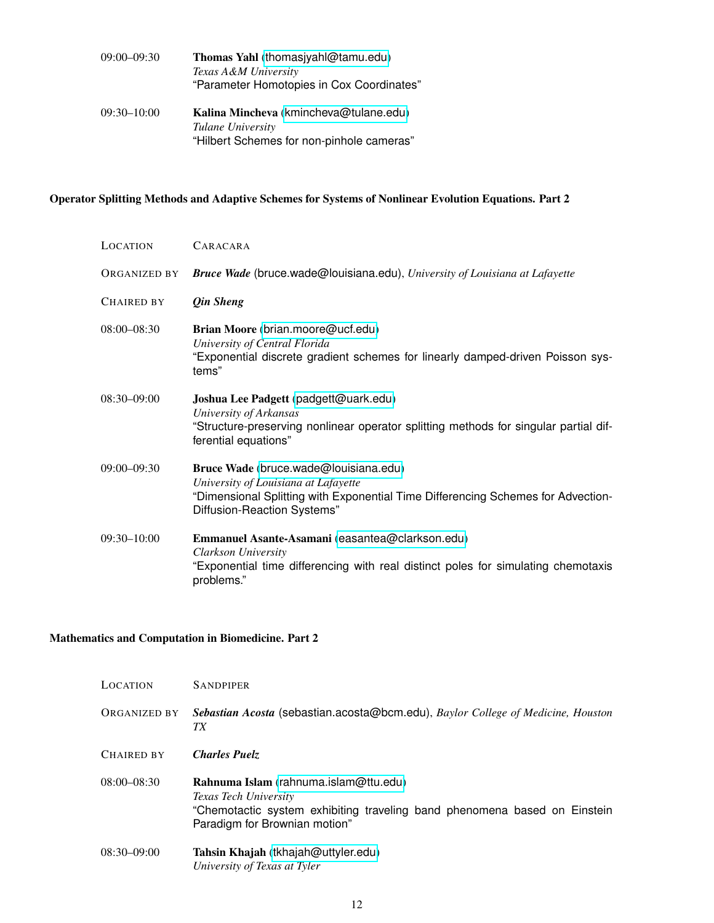| $09:00 - 09:30$ | Thomas Yahl (thomasjyahl@tamu.edu)<br>Texas A&M University<br>"Parameter Homotopies in Cox Coordinates"  |
|-----------------|----------------------------------------------------------------------------------------------------------|
| $09:30 - 10:00$ | Kalina Mincheva (kmincheva@tulane.edu)<br>Tulane University<br>"Hilbert Schemes for non-pinhole cameras" |

#### <span id="page-11-0"></span>Operator Splitting Methods and Adaptive Schemes for Systems of Nonlinear Evolution Equations. Part 2

| LOCATION     | CARACARA                                                                                                                                                                                         |
|--------------|--------------------------------------------------------------------------------------------------------------------------------------------------------------------------------------------------|
| ORGANIZED BY | <b>Bruce Wade</b> (bruce wade@louisiana.edu), University of Louisiana at Lafayette                                                                                                               |
| Chaired by   | <i><b>Qin Sheng</b></i>                                                                                                                                                                          |
| 08:00-08:30  | Brian Moore (brian.moore@ucf.edu)<br>University of Central Florida<br>"Exponential discrete gradient schemes for linearly damped-driven Poisson sys-<br>tems"                                    |
| 08:30–09:00  | Joshua Lee Padgett (padgett@uark.edu)<br>University of Arkansas<br>"Structure-preserving nonlinear operator splitting methods for singular partial dif-<br>ferential equations"                  |
| 09:00–09:30  | Bruce Wade (bruce.wade@louisiana.edu)<br>University of Louisiana at Lafayette<br>"Dimensional Splitting with Exponential Time Differencing Schemes for Advection-<br>Diffusion-Reaction Systems" |
| 09:30–10:00  | Emmanuel Asante-Asamani (easantea@clarkson.edu)<br>Clarkson University<br>"Exponential time differencing with real distinct poles for simulating chemotaxis<br>problems."                        |

#### <span id="page-11-1"></span>Mathematics and Computation in Biomedicine. Part 2

| <b>LOCATION</b>     | <b>SANDPIPER</b>                                                                                                                                                             |
|---------------------|------------------------------------------------------------------------------------------------------------------------------------------------------------------------------|
| <b>ORGANIZED BY</b> | Sebastian Acosta (sebastian.acosta@bcm.edu), Baylor College of Medicine, Houston<br>TХ                                                                                       |
| <b>CHAIRED BY</b>   | <b>Charles Puelz</b>                                                                                                                                                         |
| $08:00 - 08:30$     | Rahnuma Islam (rahnuma.islam@ttu.edu)<br>Texas Tech University<br>"Chemotactic system exhibiting traveling band phenomena based on Einstein<br>Paradigm for Brownian motion" |
| $08:30-09:00$       | Tahsin Khajah (tkhajah@uttyler.edu)<br>University of Texas at Tyler                                                                                                          |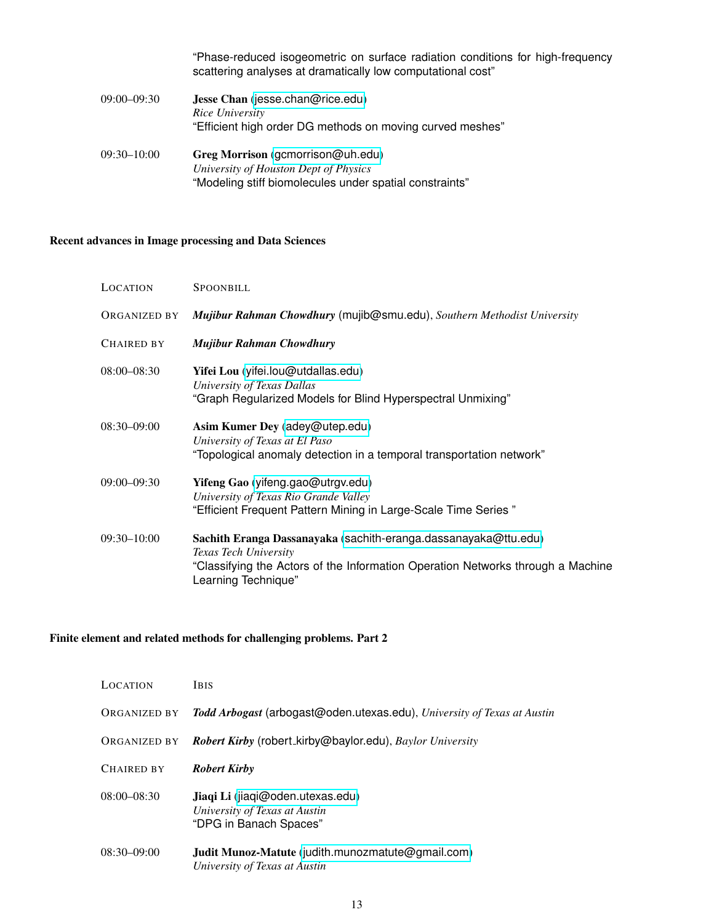|                 | "Phase-reduced isogeometric on surface radiation conditions for high-frequency<br>scattering analyses at dramatically low computational cost" |
|-----------------|-----------------------------------------------------------------------------------------------------------------------------------------------|
| $09:00 - 09:30$ | Jesse Chan (jesse.chan@rice.edu)<br>Rice University<br>"Efficient high order DG methods on moving curved meshes"                              |
| $09:30 - 10:00$ | Greg Morrison (gcmorrison@uh.edu)<br>University of Houston Dept of Physics<br>"Modeling stiff biomolecules under spatial constraints"         |

### <span id="page-12-0"></span>Recent advances in Image processing and Data Sciences

| LOCATION          | <b>SPOONBILL</b>                                                                                                                                                                                   |
|-------------------|----------------------------------------------------------------------------------------------------------------------------------------------------------------------------------------------------|
| ORGANIZED BY      | Mujibur Rahman Chowdhury (mujib@smu.edu), Southern Methodist University                                                                                                                            |
| <b>CHAIRED BY</b> | Mujibur Rahman Chowdhury                                                                                                                                                                           |
| $08:00 - 08:30$   | Yifei Lou (yifei.lou@utdallas.edu)<br>University of Texas Dallas<br>"Graph Regularized Models for Blind Hyperspectral Unmixing"                                                                    |
| $08:30 - 09:00$   | Asim Kumer Dey (adey@utep.edu)<br>University of Texas at El Paso<br>"Topological anomaly detection in a temporal transportation network"                                                           |
| $09:00 - 09:30$   | Yifeng Gao (yifeng.gao@utrgv.edu)<br>University of Texas Rio Grande Valley<br>"Efficient Frequent Pattern Mining in Large-Scale Time Series"                                                       |
| $09:30 - 10:00$   | Sachith Eranga Dassanayaka (sachith-eranga.dassanayaka@ttu.edu)<br>Texas Tech University<br>"Classifying the Actors of the Information Operation Networks through a Machine<br>Learning Technique" |

# <span id="page-12-1"></span>Finite element and related methods for challenging problems. Part 2

| <b>LOCATION</b>   | <b>IBIS</b>                                                                                 |
|-------------------|---------------------------------------------------------------------------------------------|
| ORGANIZED BY      | Todd Arbogast (arbogast@oden.utexas.edu), University of Texas at Austin                     |
| ORGANIZED BY      | <b>Robert Kirby</b> (robert_kirby@baylor.edu), Baylor University                            |
| <b>CHAIRED BY</b> | <b>Robert Kirby</b>                                                                         |
| $08:00 - 08:30$   | Jiaqi Li (jiaqi@oden.utexas.edu)<br>University of Texas at Austin<br>"DPG in Banach Spaces" |
| $08:30 - 09:00$   | Judit Munoz-Matute (judith.munozmatute@gmail.com)<br>University of Texas at Austin          |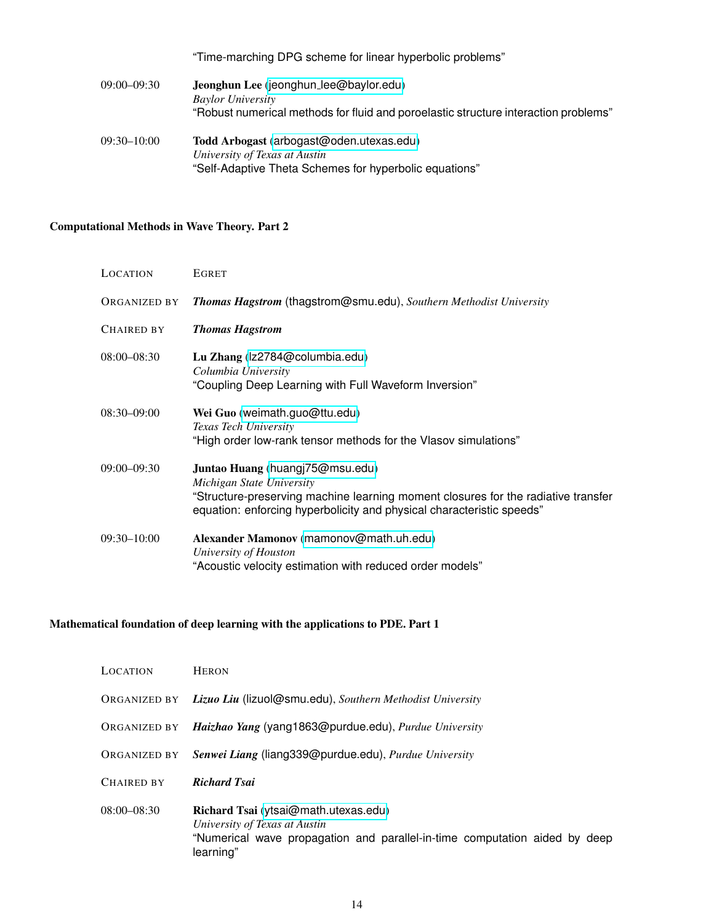|                 | "Time-marching DPG scheme for linear hyperbolic problems"                           |
|-----------------|-------------------------------------------------------------------------------------|
| $09:00 - 09:30$ | Jeonghun Lee (jeonghun_lee@baylor.edu)                                              |
|                 | <b>Baylor University</b>                                                            |
|                 | "Robust numerical methods for fluid and poroelastic structure interaction problems" |
| $09:30 - 10:00$ | Todd Arbogast (arbogast@oden.utexas.edu)                                            |
|                 | University of Texas at Austin                                                       |
|                 | "Self-Adaptive Theta Schemes for hyperbolic equations"                              |

# <span id="page-13-0"></span>Computational Methods in Wave Theory. Part 2

| LOCATION        | <b>EGRET</b>                                                                                                                                                                                                               |
|-----------------|----------------------------------------------------------------------------------------------------------------------------------------------------------------------------------------------------------------------------|
| ORGANIZED BY    | Thomas Hagstrom (thagstrom@smu.edu), Southern Methodist University                                                                                                                                                         |
| CHAIRED BY      | <b>Thomas Hagstrom</b>                                                                                                                                                                                                     |
| 08:00-08:30     | Lu Zhang (Iz2784@columbia.edu)<br>Columbia University<br>"Coupling Deep Learning with Full Waveform Inversion"                                                                                                             |
| 08:30–09:00     | Wei Guo (weimath.guo@ttu.edu)<br>Texas Tech University<br>"High order low-rank tensor methods for the Vlasov simulations"                                                                                                  |
| $09:00 - 09:30$ | Juntao Huang (huangj75@msu.edu)<br>Michigan State University<br>"Structure-preserving machine learning moment closures for the radiative transfer<br>equation: enforcing hyperbolicity and physical characteristic speeds" |
| $09:30 - 10:00$ | Alexander Mamonov (mamonov@math.uh.edu)<br>University of Houston<br>"Acoustic velocity estimation with reduced order models"                                                                                               |

# <span id="page-13-1"></span>Mathematical foundation of deep learning with the applications to PDE. Part 1

| LOCATION        | <b>HERON</b>                                                                                                                                                     |
|-----------------|------------------------------------------------------------------------------------------------------------------------------------------------------------------|
|                 | ORGANIZED BY Lizuo Liu (lizuol@smu.edu), Southern Methodist University                                                                                           |
| ORGANIZED BY    | Haizhao Yang (yang1863@purdue.edu), Purdue University                                                                                                            |
| ORGANIZED BY    | Senwei Liang (liang 339@ purdue.edu), Purdue University                                                                                                          |
| CHAIRED BY      | <b>Richard Tsai</b>                                                                                                                                              |
| $08:00 - 08:30$ | Richard Tsai (ytsai@math.utexas.edu)<br>University of Texas at Austin<br>"Numerical wave propagation and parallel-in-time computation aided by deep<br>learning" |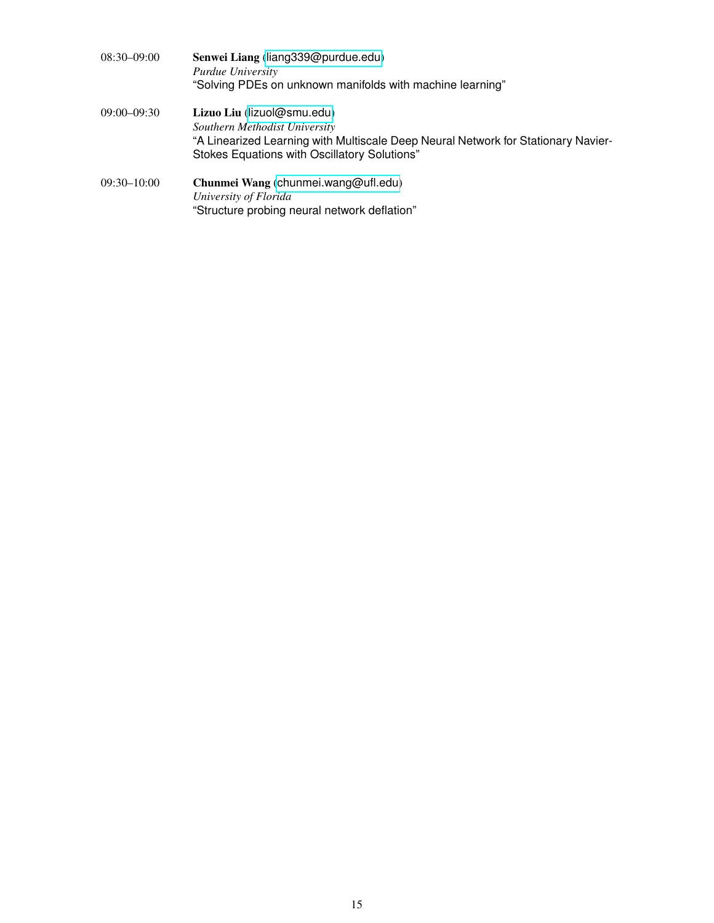| 08:30–09:00 | Senwei Liang (liang 39@ purdue.edu)<br>Purdue University<br>"Solving PDEs on unknown manifolds with machine learning"                                                                            |
|-------------|--------------------------------------------------------------------------------------------------------------------------------------------------------------------------------------------------|
| 09:00-09:30 | Lizuo Liu (lizuol@smu.edu)<br>Southern Methodist University<br>"A Linearized Learning with Multiscale Deep Neural Network for Stationary Navier-<br>Stokes Equations with Oscillatory Solutions" |
| 09:30–10:00 | Chunmei Wang (chunmei.wang@ufl.edu)<br>University of Florida<br>"Structure probing neural network deflation"                                                                                     |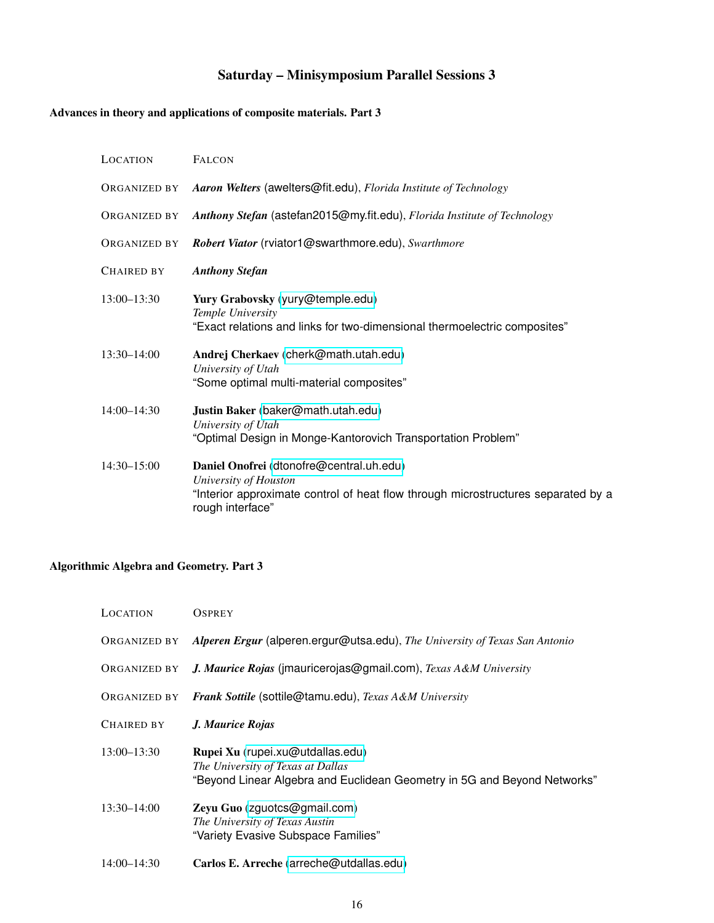# Saturday – Minisymposium Parallel Sessions 3

### <span id="page-15-1"></span><span id="page-15-0"></span>Advances in theory and applications of composite materials. Part 3

| <b>LOCATION</b> | <b>FALCON</b>                                                                                                                                                              |
|-----------------|----------------------------------------------------------------------------------------------------------------------------------------------------------------------------|
| ORGANIZED BY    | Aaron Welters (awelters@fit.edu), Florida Institute of Technology                                                                                                          |
| ORGANIZED BY    | Anthony Stefan (astefan2015@my.fit.edu), Florida Institute of Technology                                                                                                   |
| ORGANIZED BY    | Robert Viator (rviator1@swarthmore.edu), Swarthmore                                                                                                                        |
| CHAIRED BY      | <b>Anthony Stefan</b>                                                                                                                                                      |
| $13:00 - 13:30$ | Yury Grabovsky (yury@temple.edu)<br>Temple University<br>"Exact relations and links for two-dimensional thermoelectric composites"                                         |
| $13:30 - 14:00$ | Andrej Cherkaev (cherk@math.utah.edu)<br>University of Utah<br>"Some optimal multi-material composites"                                                                    |
| 14:00-14:30     | Justin Baker (baker@math.utah.edu)<br>University of Utah<br>"Optimal Design in Monge-Kantorovich Transportation Problem"                                                   |
| $14:30 - 15:00$ | Daniel Onofrei (dtonofre@central.uh.edu)<br>University of Houston<br>"Interior approximate control of heat flow through microstructures separated by a<br>rough interface" |

## <span id="page-15-2"></span>Algorithmic Algebra and Geometry. Part 3

| LOCATION            | <b>OSPREY</b>                                                                                                                                     |
|---------------------|---------------------------------------------------------------------------------------------------------------------------------------------------|
| <b>ORGANIZED BY</b> | Alperen Ergur (alperen.ergur@utsa.edu), The University of Texas San Antonio                                                                       |
| ORGANIZED BY        | J. Maurice Rojas (jmauricerojas@gmail.com), Texas A&M University                                                                                  |
| ORGANIZED BY        | Frank Sottile (sottile@tamu.edu), Texas A&M University                                                                                            |
| CHAIRED BY          | J. Maurice Rojas                                                                                                                                  |
| $13:00 - 13:30$     | Rupei Xu (rupei.xu@utdallas.edu)<br>The University of Texas at Dallas<br>"Beyond Linear Algebra and Euclidean Geometry in 5G and Beyond Networks" |
| $13:30 - 14:00$     | Zeyu Guo (zguotcs@gmail.com)<br>The University of Texas Austin<br>"Variety Evasive Subspace Families"                                             |
| $14:00 - 14:30$     | Carlos E. Arreche (arreche@utdallas.edu)                                                                                                          |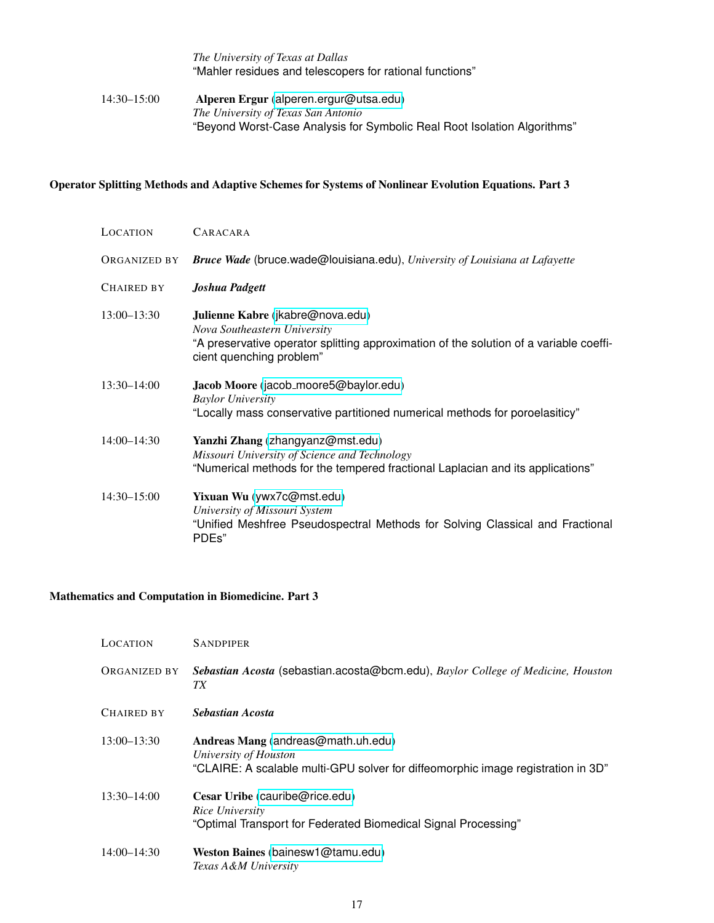# *The University of Texas at Dallas* "Mahler residues and telescopers for rational functions" 14:30–15:00 Alperen Ergur ([alperen.ergur@utsa.edu](mailto:alperen.ergur@utsa.edu)) *The University of Texas San Antonio* "Beyond Worst-Case Analysis for Symbolic Real Root Isolation Algorithms"

#### <span id="page-16-0"></span>Operator Splitting Methods and Adaptive Schemes for Systems of Nonlinear Evolution Equations. Part 3

| <b>LOCATION</b> | CARACARA                                                                                                                                                                               |
|-----------------|----------------------------------------------------------------------------------------------------------------------------------------------------------------------------------------|
| ORGANIZED BY    | Bruce Wade (bruce.wade@louisiana.edu), University of Louisiana at Lafayette                                                                                                            |
| CHAIRED BY      | Joshua Padgett                                                                                                                                                                         |
| $13:00 - 13:30$ | Julienne Kabre (jkabre@nova.edu)<br>Nova Southeastern University<br>"A preservative operator splitting approximation of the solution of a variable coeffi-<br>cient quenching problem" |
| $13:30 - 14:00$ | Jacob Moore (jacob_moore5@baylor.edu)<br><b>Baylor University</b><br>"Locally mass conservative partitioned numerical methods for poroelasiticy"                                       |
| $14:00 - 14:30$ | Yanzhi Zhang (zhangyanz@mst.edu)<br>Missouri University of Science and Technology<br>"Numerical methods for the tempered fractional Laplacian and its applications"                    |
| $14:30 - 15:00$ | Yixuan Wu (ywx7c@mst.edu)<br>University of Missouri System<br>"Unified Meshfree Pseudospectral Methods for Solving Classical and Fractional<br>PDEs"                                   |

#### <span id="page-16-1"></span>Mathematics and Computation in Biomedicine. Part 3

| LOCATION        | <b>SANDPIPER</b>                                                                                                                                |
|-----------------|-------------------------------------------------------------------------------------------------------------------------------------------------|
| ORGANIZED BY    | Sebastian Acosta (sebastian.acosta@bcm.edu), Baylor College of Medicine, Houston<br>TХ                                                          |
| CHAIRED BY      | Sebastian Acosta                                                                                                                                |
| 13:00-13:30     | Andreas Mang (andreas@math.uh.edu)<br>University of Houston<br>"CLAIRE: A scalable multi-GPU solver for diffeomorphic image registration in 3D" |
| $13:30 - 14:00$ | Cesar Uribe (cauribe@rice.edu)<br>Rice University<br>"Optimal Transport for Federated Biomedical Signal Processing"                             |
| 14:00-14:30     | Weston Baines (bainesw1@tamu.edu)<br>Texas A&M University                                                                                       |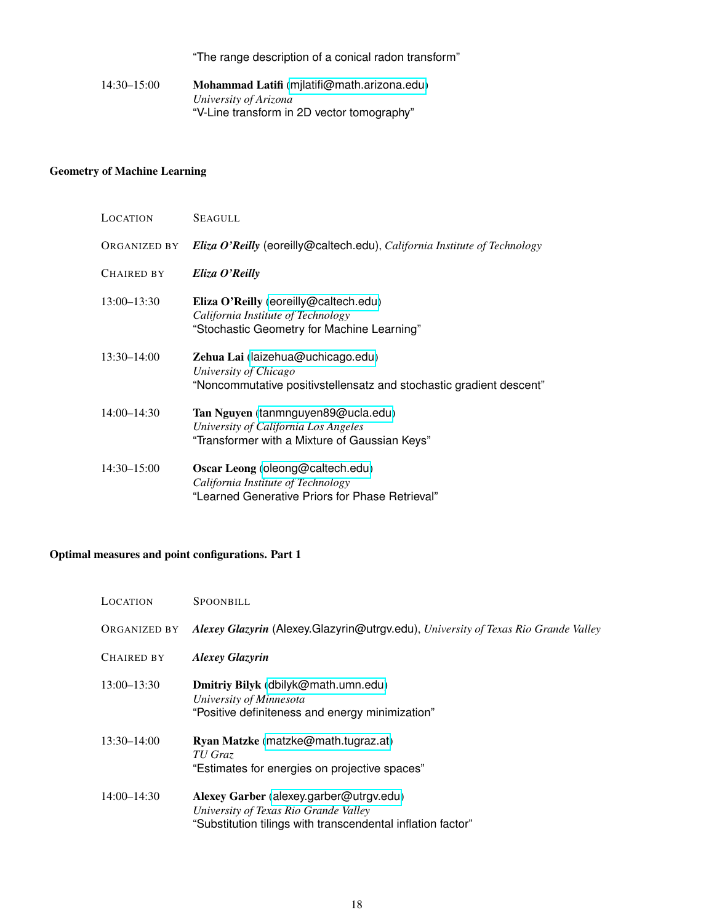"The range description of a conical radon transform"

14:30–15:00 Mohammad Latifi ([mjlatifi@math.arizona.edu](mailto:mjlatifi@math.arizona.edu)) *University of Arizona* "V-Line transform in 2D vector tomography"

#### <span id="page-17-0"></span>Geometry of Machine Learning

| LOCATION     | <b>SEAGULL</b>                                                                                                                    |
|--------------|-----------------------------------------------------------------------------------------------------------------------------------|
| ORGANIZED BY | Eliza O'Reilly (eoreilly@caltech.edu), California Institute of Technology                                                         |
| Chaired by   | Eliza O'Reilly                                                                                                                    |
| 13:00-13:30  | Eliza O'Reilly (eoreilly@caltech.edu)<br>California Institute of Technology<br>"Stochastic Geometry for Machine Learning"         |
| 13:30-14:00  | Zehua Lai (laizehua@uchicago.edu)<br>University of Chicago<br>"Noncommutative positivstellensatz and stochastic gradient descent" |
| 14:00-14:30  | Tan Nguyen (tanmnguyen89@ucla.edu)<br>University of California Los Angeles<br>"Transformer with a Mixture of Gaussian Keys"       |
| 14:30–15:00  | Oscar Leong (oleong@caltech.edu)<br>California Institute of Technology<br>"Learned Generative Priors for Phase Retrieval"         |

#### <span id="page-17-1"></span>Optimal measures and point configurations. Part 1

| LOCATION     | SPOONBILL                                                                                                                                       |
|--------------|-------------------------------------------------------------------------------------------------------------------------------------------------|
| ORGANIZED BY | Alexey Glazyrin (Alexey.Glazyrin@utrgv.edu), University of Texas Rio Grande Valley                                                              |
| CHAIRED BY   | <b>Alexey Glazyrin</b>                                                                                                                          |
| 13:00–13:30  | Dmitriy Bilyk (dbilyk@math.umn.edu)<br>University of Minnesota<br>"Positive definiteness and energy minimization"                               |
| 13:30–14:00  | Ryan Matzke (matzke@math.tugraz.at)<br>TU Graz<br>"Estimates for energies on projective spaces"                                                 |
| 14:00–14:30  | Alexey Garber (alexey.garber@utrgv.edu)<br>University of Texas Rio Grande Valley<br>"Substitution tilings with transcendental inflation factor" |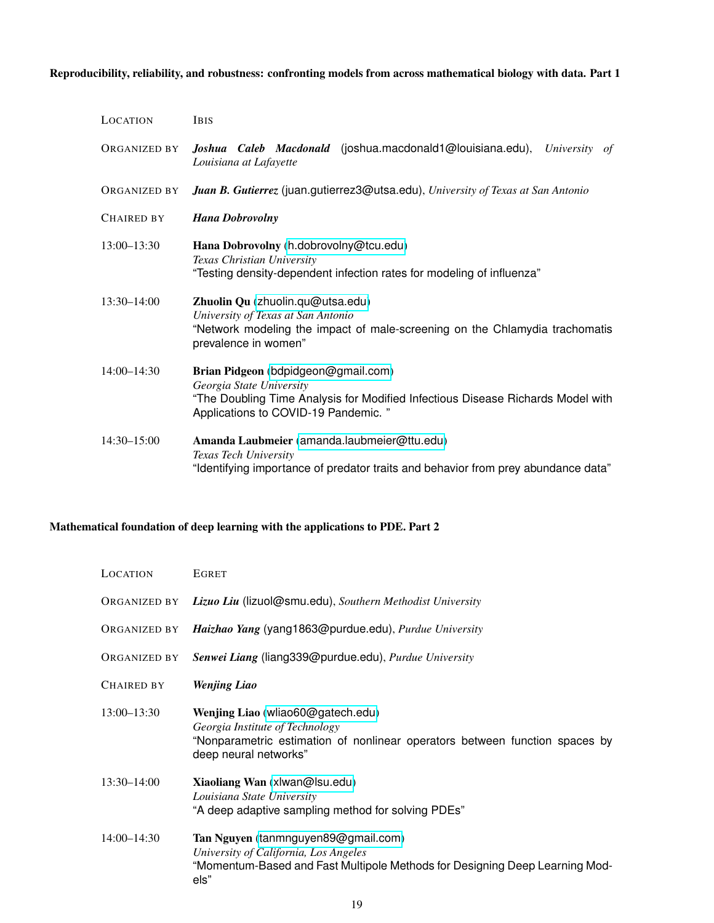<span id="page-18-0"></span>Reproducibility, reliability, and robustness: confronting models from across mathematical biology with data. Part 1

| LOCATION          | <b>IBIS</b>                                                                                                                                                                               |
|-------------------|-------------------------------------------------------------------------------------------------------------------------------------------------------------------------------------------|
| ORGANIZED BY      | Joshua Caleb Macdonald (joshua.macdonald1@louisiana.edu),<br>University<br>of<br>Louisiana at Lafayette                                                                                   |
| ORGANIZED BY      | Juan B. Gutierrez (juan.gutierrez3@utsa.edu), University of Texas at San Antonio                                                                                                          |
| <b>CHAIRED BY</b> | <b>Hana Dobrovolny</b>                                                                                                                                                                    |
| $13:00 - 13:30$   | Hana Dobrovolny (h.dobrovolny@tcu.edu)<br>Texas Christian University<br>"Testing density-dependent infection rates for modeling of influenza"                                             |
| $13:30 - 14:00$   | Zhuolin Qu (zhuolin.qu@utsa.edu)<br>University of Texas at San Antonio<br>"Network modeling the impact of male-screening on the Chlamydia trachomatis<br>prevalence in women"             |
| $14:00 - 14:30$   | Brian Pidgeon (bdpidgeon@gmail.com)<br>Georgia State University<br>"The Doubling Time Analysis for Modified Infectious Disease Richards Model with<br>Applications to COVID-19 Pandemic." |
| $14:30 - 15:00$   | Amanda Laubmeier (amanda.laubmeier@ttu.edu)<br>Texas Tech University<br>"Identifying importance of predator traits and behavior from prey abundance data"                                 |

### <span id="page-18-1"></span>Mathematical foundation of deep learning with the applications to PDE. Part 2

| LOCATION          | <b>EGRET</b>                                                                                                                                                                 |
|-------------------|------------------------------------------------------------------------------------------------------------------------------------------------------------------------------|
| ORGANIZED BY      | Lizuo Liu (lizuol@smu.edu), Southern Methodist University                                                                                                                    |
| ORGANIZED BY      | Haizhao Yang (yang1863@purdue.edu), Purdue University                                                                                                                        |
| ORGANIZED BY      | Senwei Liang (liang339@purdue.edu), Purdue University                                                                                                                        |
| <b>CHAIRED BY</b> | <b>Wenjing Liao</b>                                                                                                                                                          |
| $13:00 - 13:30$   | Wenjing Liao (wliao60@gatech.edu)<br>Georgia Institute of Technology<br>"Nonparametric estimation of nonlinear operators between function spaces by<br>deep neural networks" |
| $13:30 - 14:00$   | Xiaoliang Wan (xlwan@lsu.edu)<br>Louisiana State University<br>"A deep adaptive sampling method for solving PDEs"                                                            |
| $14:00 - 14:30$   | Tan Nguyen (tanmnguyen89@gmail.com)<br>University of California, Los Angeles<br>"Momentum-Based and Fast Multipole Methods for Designing Deep Learning Mod-<br>els"          |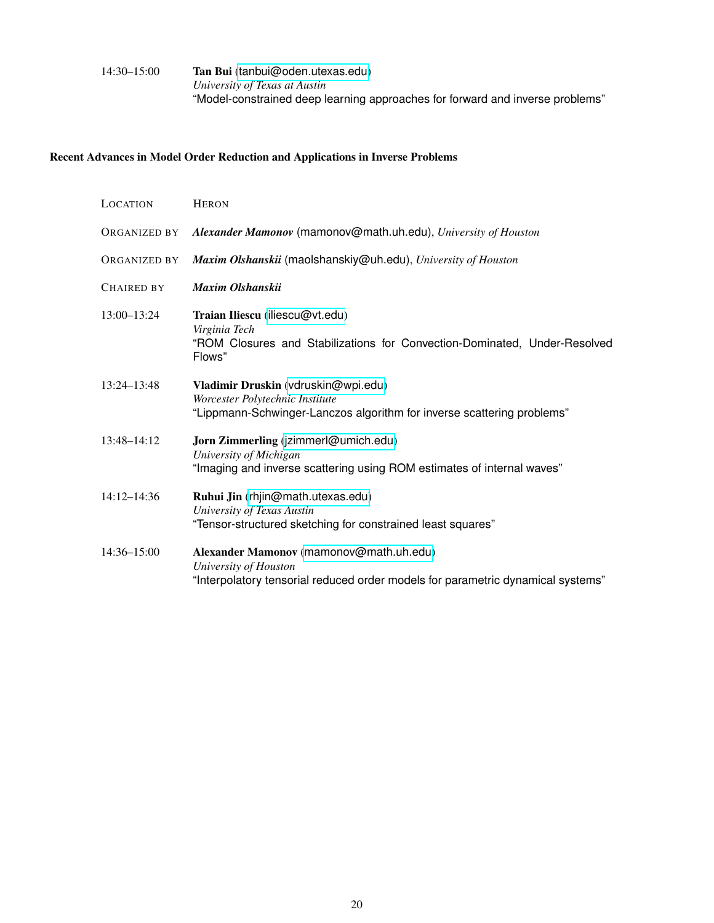#### 14:30–15:00 Tan Bui ([tanbui@oden.utexas.edu](mailto:tanbui@oden.utexas.edu)) *University of Texas at Austin* "Model-constrained deep learning approaches for forward and inverse problems"

#### <span id="page-19-0"></span>Recent Advances in Model Order Reduction and Applications in Inverse Problems

| LOCATION            | <b>HERON</b>                                                                                                                                        |
|---------------------|-----------------------------------------------------------------------------------------------------------------------------------------------------|
| <b>ORGANIZED BY</b> | Alexander Mamonov (mamonov@math.uh.edu), University of Houston                                                                                      |
| <b>ORGANIZED BY</b> | Maxim Olshanskii (maolshanskiy@uh.edu), University of Houston                                                                                       |
| <b>CHAIRED BY</b>   | Maxim Olshanskii                                                                                                                                    |
| $13:00 - 13:24$     | Traian Iliescu (iliescu@vt.edu)<br>Virginia Tech<br>"ROM Closures and Stabilizations for Convection-Dominated, Under-Resolved<br>Flows"             |
| $13:24 - 13:48$     | Vladimir Druskin (vdruskin@wpi.edu)<br>Worcester Polytechnic Institute<br>"Lippmann-Schwinger-Lanczos algorithm for inverse scattering problems"    |
| $13:48 - 14:12$     | Jorn Zimmerling (jzimmerl@umich.edu)<br>University of Michigan<br>"Imaging and inverse scattering using ROM estimates of internal waves"            |
| $14:12 - 14:36$     | Ruhui Jin (rhjin@math.utexas.edu)<br>University of Texas Austin<br>"Tensor-structured sketching for constrained least squares"                      |
| 14:36-15:00         | Alexander Mamonov (mamonov@math.uh.edu)<br>University of Houston<br>"Interpolatory tensorial reduced order models for parametric dynamical systems" |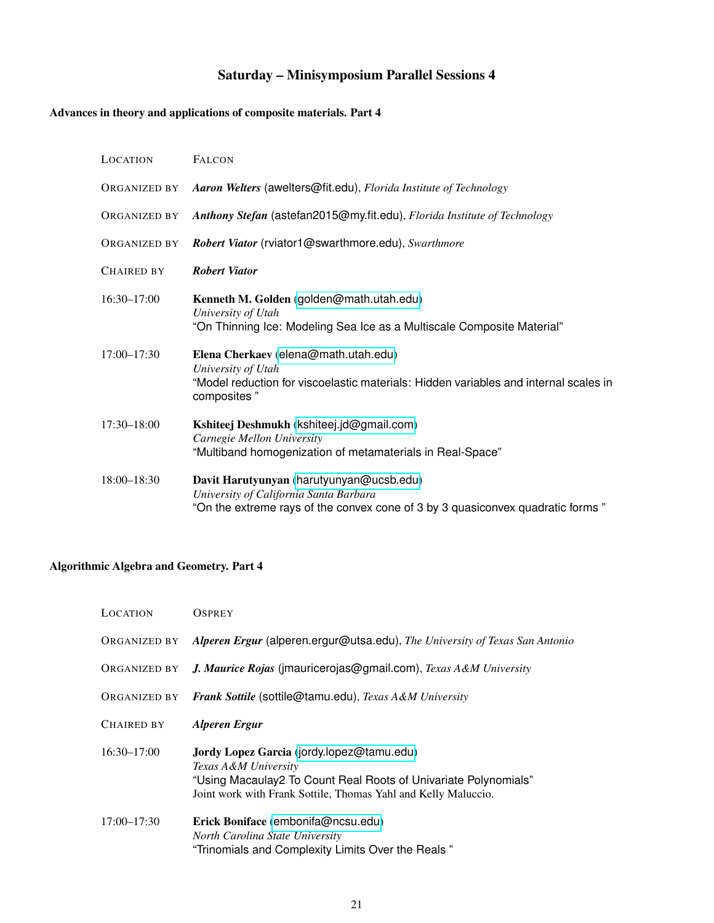# Saturday – Minisymposium Parallel Sessions 4

# <span id="page-20-1"></span><span id="page-20-0"></span>Advances in theory and applications of composite materials. Part 4

| LOCATION        | <b>FALCON</b>                                                                                                                                                        |
|-----------------|----------------------------------------------------------------------------------------------------------------------------------------------------------------------|
| ORGANIZED BY    | Aaron Welters (awelters@fit.edu), Florida Institute of Technology                                                                                                    |
| ORGANIZED BY    | Anthony Stefan (astefan2015@my.fit.edu), Florida Institute of Technology                                                                                             |
| ORGANIZED BY    | Robert Viator (rviator1@swarthmore.edu), Swarthmore                                                                                                                  |
| CHAIRED BY      | <b>Robert Viator</b>                                                                                                                                                 |
| $16:30 - 17:00$ | Kenneth M. Golden (golden@math.utah.edu)<br>University of Utah<br>"On Thinning Ice: Modeling Sea Ice as a Multiscale Composite Material"                             |
| $17:00 - 17:30$ | Elena Cherkaev (elena@math.utah.edu)<br>University of Utah<br>"Model reduction for viscoelastic materials: Hidden variables and internal scales in<br>composites"    |
| $17:30 - 18:00$ | Kshiteej Deshmukh (kshiteej.jd@gmail.com)<br>Carnegie Mellon University<br>"Multiband homogenization of metamaterials in Real-Space"                                 |
| $18:00 - 18:30$ | Davit Harutyunyan (harutyunyan@ucsb.edu)<br>University of California Santa Barbara<br>"On the extreme rays of the convex cone of 3 by 3 quasiconvex quadratic forms" |

## <span id="page-20-2"></span>Algorithmic Algebra and Geometry. Part 4

| <b>LOCATION</b>   | <b>OSPREY</b>                                                                                                                                                                                          |
|-------------------|--------------------------------------------------------------------------------------------------------------------------------------------------------------------------------------------------------|
| ORGANIZED BY      | Alperen Ergur (alperen.ergur@utsa.edu), The University of Texas San Antonio                                                                                                                            |
| ORGANIZED BY      | J. Maurice Rojas (imauricerojas@gmail.com), Texas A&M University                                                                                                                                       |
| ORGANIZED BY      | Frank Sottile (sottile@tamu.edu), Texas A&M University                                                                                                                                                 |
| <b>CHAIRED BY</b> | <b>Alperen Ergur</b>                                                                                                                                                                                   |
| $16:30 - 17:00$   | Jordy Lopez Garcia (jordy.lopez@tamu.edu)<br>Texas A&M University<br>"Using Macaulay2 To Count Real Roots of Univariate Polynomials"<br>Joint work with Frank Sottile, Thomas Yahl and Kelly Maluccio. |
| $17:00 - 17:30$   | Erick Boniface (embonifa@ncsu.edu)<br>North Carolina State University<br>"Trinomials and Complexity Limits Over the Reals"                                                                             |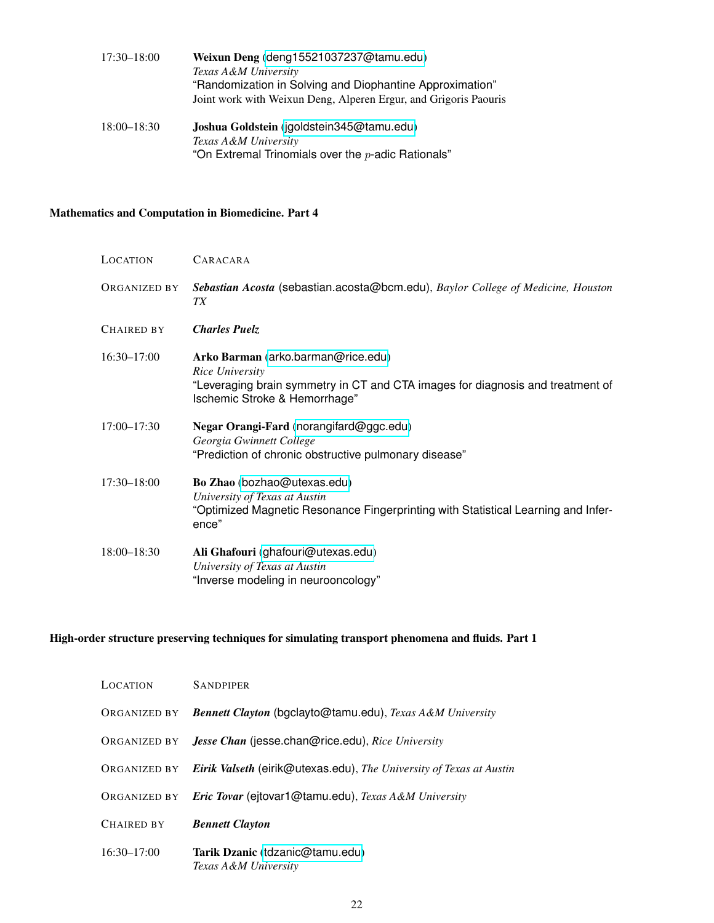| 17:30–18:00     | Weixun Deng (deng15521037237@tamu.edu)<br>Texas A&M University                                                               |
|-----------------|------------------------------------------------------------------------------------------------------------------------------|
|                 | "Randomization in Solving and Diophantine Approximation"<br>Joint work with Weixun Deng, Alperen Ergur, and Grigoris Paouris |
| $18:00 - 18:30$ | Joshua Goldstein (jgoldstein345@tamu.edu)<br>Texas A&M University                                                            |

"On Extremal Trinomials over the  $p\textrm{-}$ adic Rationals"

### <span id="page-21-0"></span>Mathematics and Computation in Biomedicine. Part 4

| LOCATION     | CARACARA                                                                                                                                                                 |
|--------------|--------------------------------------------------------------------------------------------------------------------------------------------------------------------------|
| ORGANIZED BY | Sebastian Acosta (sebastian.acosta@bcm.edu), Baylor College of Medicine, Houston<br>TX                                                                                   |
| CHAIRED BY   | <b>Charles Puelz</b>                                                                                                                                                     |
| 16:30-17:00  | Arko Barman (arko.barman@rice.edu)<br>Rice University<br>"Leveraging brain symmetry in CT and CTA images for diagnosis and treatment of<br>Ischemic Stroke & Hemorrhage" |
| 17:00-17:30  | Negar Orangi-Fard (norangifard@ggc.edu)<br>Georgia Gwinnett College<br>"Prediction of chronic obstructive pulmonary disease"                                             |
| 17:30-18:00  | Bo Zhao (bozhao@utexas.edu)<br>University of Texas at Austin<br>"Optimized Magnetic Resonance Fingerprinting with Statistical Learning and Infer-<br>ence"               |
| 18:00-18:30  | Ali Ghafouri (ghafouri@utexas.edu)<br>University of Texas at Austin<br>"Inverse modeling in neurooncology"                                                               |

#### <span id="page-21-1"></span>High-order structure preserving techniques for simulating transport phenomena and fluids. Part 1

| LOCATION          | <b>SANDPIPER</b>                                                    |
|-------------------|---------------------------------------------------------------------|
| ORGANIZED BY      | Bennett Clayton (bgclayto@tamu.edu), Texas A&M University           |
| ORGANIZED BY      | <b>Jesse Chan</b> (jesse.chan@rice.edu), Rice University            |
| ORGANIZED BY      | Eirik Valseth (eirik@utexas.edu), The University of Texas at Austin |
| ORGANIZED BY      | Eric Tovar (ejtovar1@tamu.edu), Texas A&M University                |
| <b>CHAIRED BY</b> | <b>Bennett Clayton</b>                                              |
| $16:30 - 17:00$   | Tarik Dzanic (tdzanic@tamu.edu)<br>Texas A&M University             |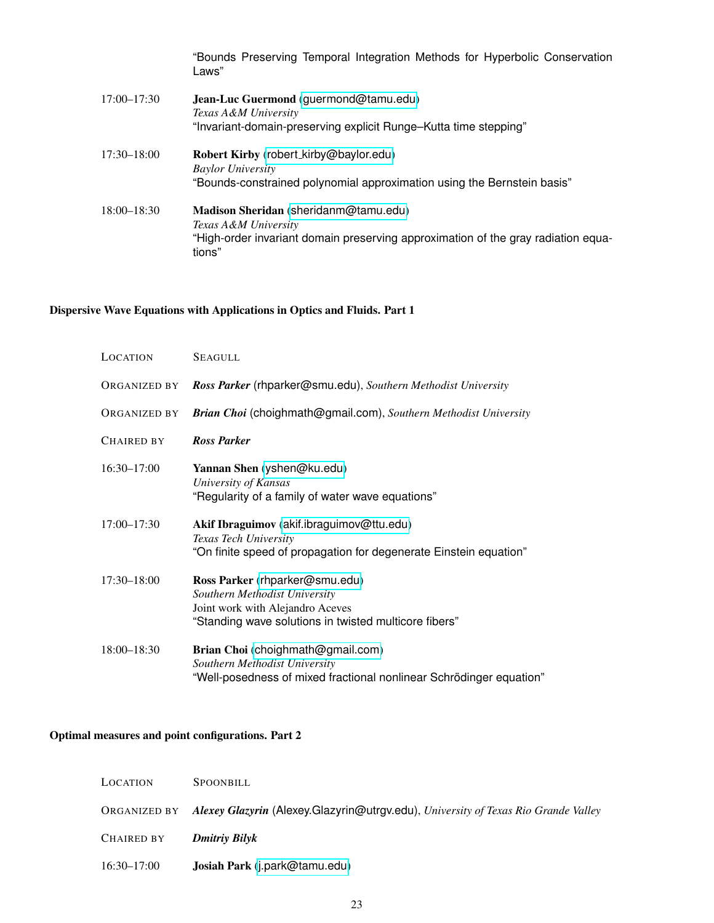|                 | "Bounds Preserving Temporal Integration Methods for Hyperbolic Conservation<br>Laws"                                                                         |
|-----------------|--------------------------------------------------------------------------------------------------------------------------------------------------------------|
| $17:00 - 17:30$ | Jean-Luc Guermond (guermond@tamu.edu)<br>Texas A&M University<br>"Invariant-domain-preserving explicit Runge-Kutta time stepping"                            |
| $17:30 - 18:00$ | Robert Kirby (robert_kirby@baylor.edu)<br><b>Baylor University</b><br>"Bounds-constrained polynomial approximation using the Bernstein basis"                |
| $18:00 - 18:30$ | Madison Sheridan (sheridanm@tamu.edu)<br>Texas A&M University<br>"High-order invariant domain preserving approximation of the gray radiation equa-<br>tions" |

# <span id="page-22-0"></span>Dispersive Wave Equations with Applications in Optics and Fluids. Part 1

| LOCATION        | <b>SEAGULL</b>                                                                                                                                               |
|-----------------|--------------------------------------------------------------------------------------------------------------------------------------------------------------|
| ORGANIZED BY    | Ross Parker (rhparker@smu.edu), Southern Methodist University                                                                                                |
| ORGANIZED BY    | Brian Choi (choighmath@gmail.com), Southern Methodist University                                                                                             |
| CHAIRED BY      | <b>Ross Parker</b>                                                                                                                                           |
| $16:30 - 17:00$ | Yannan Shen (yshen@ku.edu)<br>University of Kansas<br>"Regularity of a family of water wave equations"                                                       |
| 17:00-17:30     | Akif Ibraguimov (akif.ibraguimov@ttu.edu)<br>Texas Tech University<br>"On finite speed of propagation for degenerate Einstein equation"                      |
| $17:30 - 18:00$ | Ross Parker (rhparker@smu.edu)<br>Southern Methodist University<br>Joint work with Alejandro Aceves<br>"Standing wave solutions in twisted multicore fibers" |
| 18:00-18:30     | Brian Choi (choighmath@gmail.com)<br>Southern Methodist University<br>"Well-posedness of mixed fractional nonlinear Schrödinger equation"                    |

# <span id="page-22-1"></span>Optimal measures and point configurations. Part 2

| LOCATION        | SPOONBILL                                                                                       |
|-----------------|-------------------------------------------------------------------------------------------------|
|                 | ORGANIZED BY Alexey Glazyrin (Alexey.Glazyrin@utrgv.edu), University of Texas Rio Grande Valley |
| CHAIRED BY      | Dmitriy Bilyk                                                                                   |
| $16:30 - 17:00$ | Josiah Park (j.park@tamu.edu)                                                                   |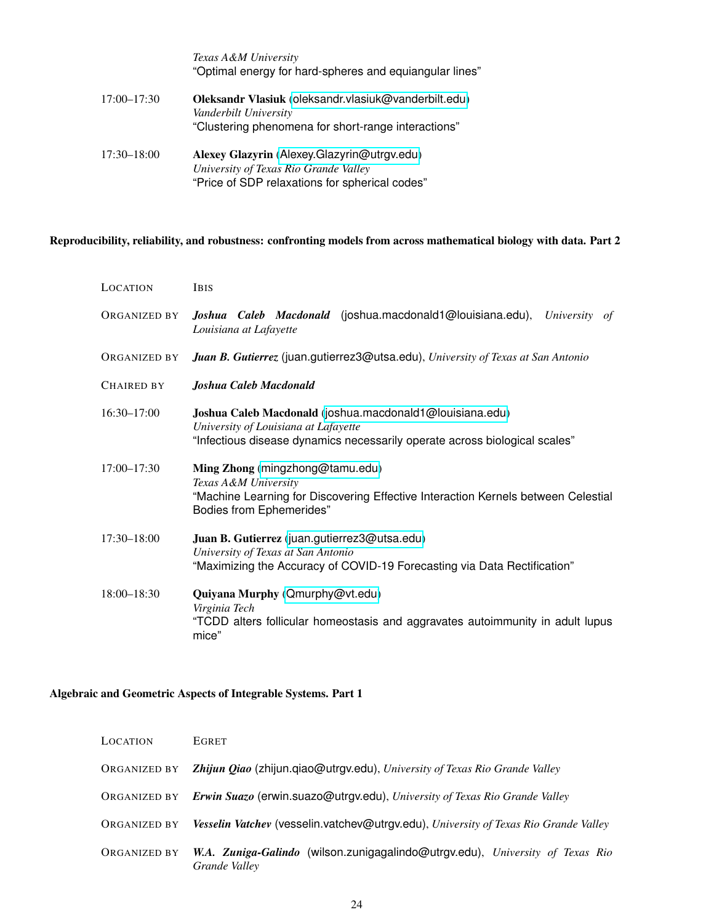|             | Texas A&M University<br>"Optimal energy for hard-spheres and equiangular lines"                                                        |
|-------------|----------------------------------------------------------------------------------------------------------------------------------------|
| 17:00-17:30 | Oleksandr Vlasiuk (oleksandr.vlasiuk@vanderbilt.edu)<br>Vanderbilt University<br>"Clustering phenomena for short-range interactions"   |
| 17:30–18:00 | Alexey Glazyrin (Alexey.Glazyrin@utrgv.edu)<br>University of Texas Rio Grande Valley<br>"Price of SDP relaxations for spherical codes" |

#### <span id="page-23-0"></span>Reproducibility, reliability, and robustness: confronting models from across mathematical biology with data. Part 2

| LOCATION     | <b>IBIS</b>                                                                                                                                                                     |
|--------------|---------------------------------------------------------------------------------------------------------------------------------------------------------------------------------|
| ORGANIZED BY | Joshua Caleb Macdonald (joshua.macdonald1@louisiana.edu),<br>University<br>of<br>Louisiana at Lafayette                                                                         |
| ORGANIZED BY | Juan B. Gutierrez (juan.gutierrez3@utsa.edu), University of Texas at San Antonio                                                                                                |
| Chaired by   | Joshua Caleb Macdonald                                                                                                                                                          |
| 16:30-17:00  | Joshua Caleb Macdonald (joshua.macdonald1@louisiana.edu)<br>University of Louisiana at Lafayette<br>"Infectious disease dynamics necessarily operate across biological scales"  |
| 17:00-17:30  | Ming Zhong (mingzhong@tamu.edu)<br>Texas A&M University<br>"Machine Learning for Discovering Effective Interaction Kernels between Celestial<br><b>Bodies from Ephemerides"</b> |
| 17:30-18:00  | Juan B. Gutierrez (juan.gutierrez3@utsa.edu)<br>University of Texas at San Antonio<br>"Maximizing the Accuracy of COVID-19 Forecasting via Data Rectification"                  |
| 18:00-18:30  | Quiyana Murphy (Qmurphy@vt.edu)<br>Virginia Tech<br>"TCDD alters follicular homeostasis and aggravates autoimmunity in adult lupus<br>mice"                                     |

### <span id="page-23-1"></span>Algebraic and Geometric Aspects of Integrable Systems. Part 1

| LOCATION     | EGRET                                                                                          |
|--------------|------------------------------------------------------------------------------------------------|
| ORGANIZED BY | Zhijun Qiao (zhijun.qiao@utrgv.edu), University of Texas Rio Grande Valley                     |
| ORGANIZED BY | Erwin Suazo (erwin.suazo@utrgv.edu), University of Texas Rio Grande Valley                     |
| ORGANIZED BY | Vesselin Vatchev (vesselin.vatchev@utrgv.edu), University of Texas Rio Grande Valley           |
| ORGANIZED BY | W.A. Zuniga-Galindo (wilson.zunigagalindo@utrgv.edu), University of Texas Rio<br>Grande Valley |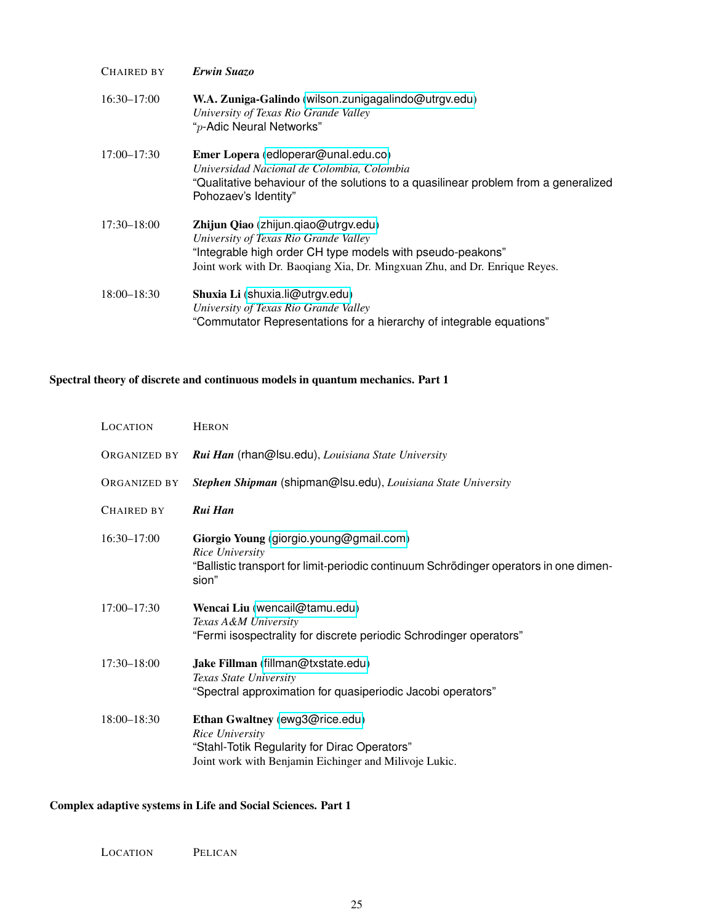| CHAIRED BY      | Erwin Suazo                                                                                                                                                                                                              |
|-----------------|--------------------------------------------------------------------------------------------------------------------------------------------------------------------------------------------------------------------------|
| $16:30 - 17:00$ | W.A. Zuniga-Galindo (wilson.zunigagalindo@utrgv.edu)<br>University of Texas Rio Grande Valley<br>"p-Adic Neural Networks"                                                                                                |
| $17:00 - 17:30$ | Emer Lopera (edloperar@unal.edu.co)<br>Universidad Nacional de Colombia, Colombia<br>"Qualitative behaviour of the solutions to a quasilinear problem from a generalized<br>Pohozaev's Identity"                         |
| $17:30 - 18:00$ | Zhijun Qiao (zhijun.qiao@utrgv.edu)<br>University of Texas Rio Grande Valley<br>"Integrable high order CH type models with pseudo-peakons"<br>Joint work with Dr. Baoqiang Xia, Dr. Mingxuan Zhu, and Dr. Enrique Reyes. |
| $18:00 - 18:30$ | Shuxia Li (shuxia.li@utrgv.edu)<br>University of Texas Rio Grande Valley<br>"Commutator Representations for a hierarchy of integrable equations"                                                                         |

### <span id="page-24-0"></span>Spectral theory of discrete and continuous models in quantum mechanics. Part 1

| LOCATION        | <b>HERON</b>                                                                                                                                                 |
|-----------------|--------------------------------------------------------------------------------------------------------------------------------------------------------------|
| ORGANIZED BY    | Rui Han (rhan@lsu.edu), Louisiana State University                                                                                                           |
| ORGANIZED BY    | Stephen Shipman (shipman@lsu.edu), Louisiana State University                                                                                                |
| CHAIRED BY      | Rui Han                                                                                                                                                      |
| 16:30-17:00     | Giorgio Young (giorgio.young@gmail.com)<br>Rice University<br>"Ballistic transport for limit-periodic continuum Schrödinger operators in one dimen-<br>sion" |
| $17:00 - 17:30$ | Wencai Liu (wencail@tamu.edu)<br>Texas A&M University<br>"Fermi isospectrality for discrete periodic Schrodinger operators"                                  |
| $17:30 - 18:00$ | Jake Fillman (fillman@txstate.edu)<br>Texas State University<br>"Spectral approximation for quasiperiodic Jacobi operators"                                  |
| 18:00-18:30     | Ethan Gwaltney (ewg3@rice.edu)<br>Rice University<br>"Stahl-Totik Regularity for Dirac Operators"<br>Joint work with Benjamin Eichinger and Milivoje Lukic.  |

### <span id="page-24-1"></span>Complex adaptive systems in Life and Social Sciences. Part 1

LOCATION PELICAN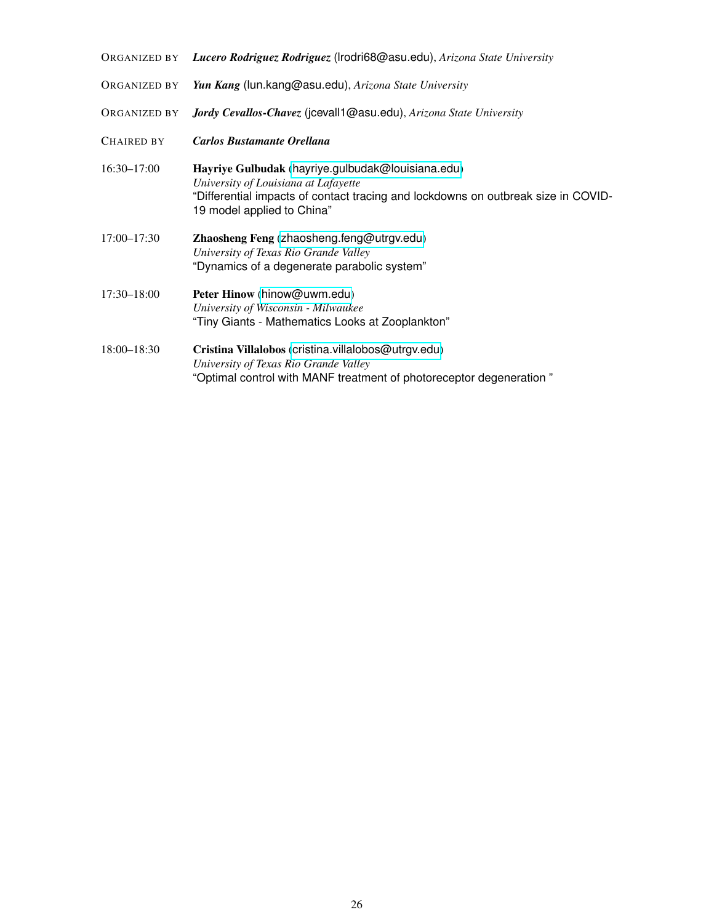| ORGANIZED BY        | Lucero Rodriguez Rodriguez (Irodri68@asu.edu), Arizona State University                                                                                                                                      |
|---------------------|--------------------------------------------------------------------------------------------------------------------------------------------------------------------------------------------------------------|
| ORGANIZED BY        | Yun Kang (lun.kang@asu.edu), Arizona State University                                                                                                                                                        |
| <b>ORGANIZED BY</b> | Jordy Cevallos-Chavez (jcevall1@asu.edu), Arizona State University                                                                                                                                           |
| <b>CHAIRED BY</b>   | <b>Carlos Bustamante Orellana</b>                                                                                                                                                                            |
| $16:30 - 17:00$     | Hayriye Gulbudak (hayriye.gulbudak@louisiana.edu)<br>University of Louisiana at Lafayette<br>"Differential impacts of contact tracing and lockdowns on outbreak size in COVID-<br>19 model applied to China" |
| $17:00 - 17:30$     | Zhaosheng Feng (zhaosheng.feng@utrgv.edu)<br>University of Texas Rio Grande Valley<br>"Dynamics of a degenerate parabolic system"                                                                            |
| $17:30 - 18:00$     | Peter Hinow (hinow@uwm.edu)<br>University of Wisconsin - Milwaukee<br>"Tiny Giants - Mathematics Looks at Zooplankton"                                                                                       |
| $18:00 - 18:30$     | Cristina Villalobos (cristina.villalobos@utrgv.edu)<br>University of Texas Rio Grande Valley<br>"Optimal control with MANF treatment of photoreceptor degeneration"                                          |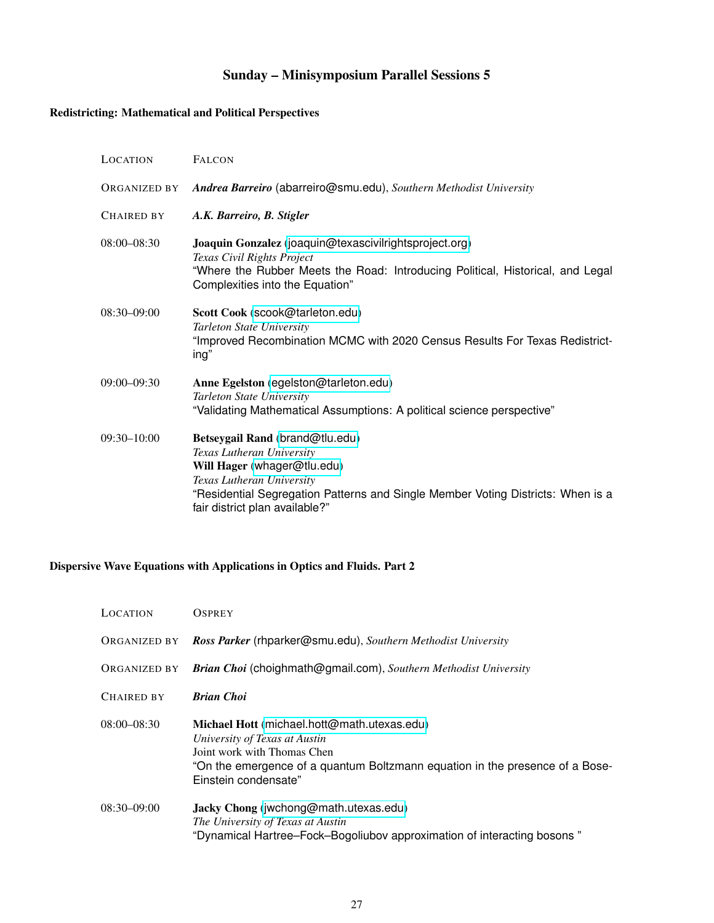# Sunday – Minisymposium Parallel Sessions 5

# <span id="page-26-1"></span><span id="page-26-0"></span>Redistricting: Mathematical and Political Perspectives

| <b>LOCATION</b>   | <b>FALCON</b>                                                                                                                                                                                                                                 |
|-------------------|-----------------------------------------------------------------------------------------------------------------------------------------------------------------------------------------------------------------------------------------------|
| ORGANIZED BY      | Andrea Barreiro (abarreiro@smu.edu), Southern Methodist University                                                                                                                                                                            |
| <b>CHAIRED BY</b> | A.K. Barreiro, B. Stigler                                                                                                                                                                                                                     |
| $08:00 - 08:30$   | Joaquin Gonzalez (joaquin@texascivilrightsproject.org)<br>Texas Civil Rights Project<br>"Where the Rubber Meets the Road: Introducing Political, Historical, and Legal<br>Complexities into the Equation"                                     |
| $08:30 - 09:00$   | Scott Cook (scook@tarleton.edu)<br>Tarleton State University<br>"Improved Recombination MCMC with 2020 Census Results For Texas Redistrict-<br>ing"                                                                                           |
| 09:00-09:30       | Anne Egelston (egelston@tarleton.edu)<br>Tarleton State University<br>"Validating Mathematical Assumptions: A political science perspective"                                                                                                  |
| $09:30 - 10:00$   | Betseygail Rand (brand@tlu.edu)<br>Texas Lutheran University<br>Will Hager (whager@tlu.edu)<br>Texas Lutheran University<br>"Residential Segregation Patterns and Single Member Voting Districts: When is a<br>fair district plan available?" |

## <span id="page-26-2"></span>Dispersive Wave Equations with Applications in Optics and Fluids. Part 2

| LOCATION     | <b>OSPREY</b>                                                                                                                                                                                                       |
|--------------|---------------------------------------------------------------------------------------------------------------------------------------------------------------------------------------------------------------------|
| ORGANIZED BY | Ross Parker (rhparker@smu.edu), Southern Methodist University                                                                                                                                                       |
| ORGANIZED BY | <b>Brian Choi</b> (choighmath@gmail.com), Southern Methodist University                                                                                                                                             |
| CHAIRED BY   | <b>Brian Choi</b>                                                                                                                                                                                                   |
| 08:00-08:30  | Michael Hott (michael.hott@math.utexas.edu)<br>University of Texas at Austin<br>Joint work with Thomas Chen<br>"On the emergence of a quantum Boltzmann equation in the presence of a Bose-<br>Einstein condensate" |
| 08:30-09:00  | Jacky Chong (jwchong@math.utexas.edu)<br>The University of Texas at Austin<br>"Dynamical Hartree–Fock–Bogoliubov approximation of interacting bosons"                                                               |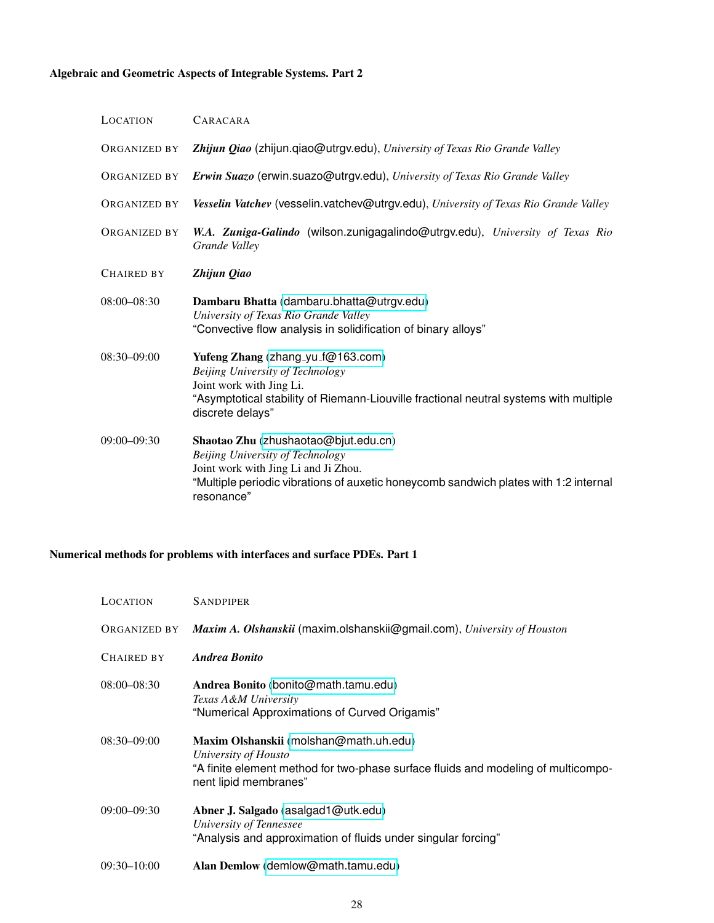# <span id="page-27-0"></span>Algebraic and Geometric Aspects of Integrable Systems. Part 2

| LOCATION            | CARACARA                                                                                                                                                                                                               |
|---------------------|------------------------------------------------------------------------------------------------------------------------------------------------------------------------------------------------------------------------|
| ORGANIZED BY        | Zhijun Qiao (zhijun.qiao@utrgv.edu), University of Texas Rio Grande Valley                                                                                                                                             |
| <b>ORGANIZED BY</b> | Erwin Suazo (erwin.suazo@utrgv.edu), University of Texas Rio Grande Valley                                                                                                                                             |
| <b>ORGANIZED BY</b> | Vesselin Vatchev (vesselin.vatchev@utrgv.edu), University of Texas Rio Grande Valley                                                                                                                                   |
| <b>ORGANIZED BY</b> | W.A. Zuniga-Galindo (wilson.zunigagalindo@utrgv.edu), University of Texas Rio<br>Grande Valley                                                                                                                         |
| <b>CHAIRED BY</b>   | Zhijun Qiao                                                                                                                                                                                                            |
| $08:00 - 08:30$     | Dambaru Bhatta (dambaru.bhatta@utrgv.edu)<br>University of Texas Rio Grande Valley<br>"Convective flow analysis in solidification of binary alloys"                                                                    |
| 08:30-09:00         | Yufeng Zhang (zhang_yu_f@163.com)<br>Beijing University of Technology<br>Joint work with Jing Li.<br>"Asymptotical stability of Riemann-Liouville fractional neutral systems with multiple<br>discrete delays"         |
| $09:00 - 09:30$     | Shaotao Zhu (zhushaotao@bjut.edu.cn)<br>Beijing University of Technology<br>Joint work with Jing Li and Ji Zhou.<br>"Multiple periodic vibrations of auxetic honeycomb sandwich plates with 1:2 internal<br>resonance" |

### <span id="page-27-1"></span>Numerical methods for problems with interfaces and surface PDEs. Part 1

| LOCATION          | <b>SANDPIPER</b>                                                                                                                                                             |
|-------------------|------------------------------------------------------------------------------------------------------------------------------------------------------------------------------|
| ORGANIZED BY      | Maxim A. Olshanskii (maxim.olshanskii@gmail.com), University of Houston                                                                                                      |
| <b>CHAIRED BY</b> | Andrea Bonito                                                                                                                                                                |
| $08:00 - 08:30$   | Andrea Bonito (bonito@math.tamu.edu)<br>Texas A&M University<br>"Numerical Approximations of Curved Origamis"                                                                |
| $08:30 - 09:00$   | Maxim Olshanskii (molshan@math.uh.edu)<br>University of Housto<br>"A finite element method for two-phase surface fluids and modeling of multicompo-<br>nent lipid membranes" |
| $09:00 - 09:30$   | Abner J. Salgado (asalgad1@utk.edu)<br>University of Tennessee<br>"Analysis and approximation of fluids under singular forcing"                                              |
| $09:30 - 10:00$   | Alan Demlow (demlow@math.tamu.edu)                                                                                                                                           |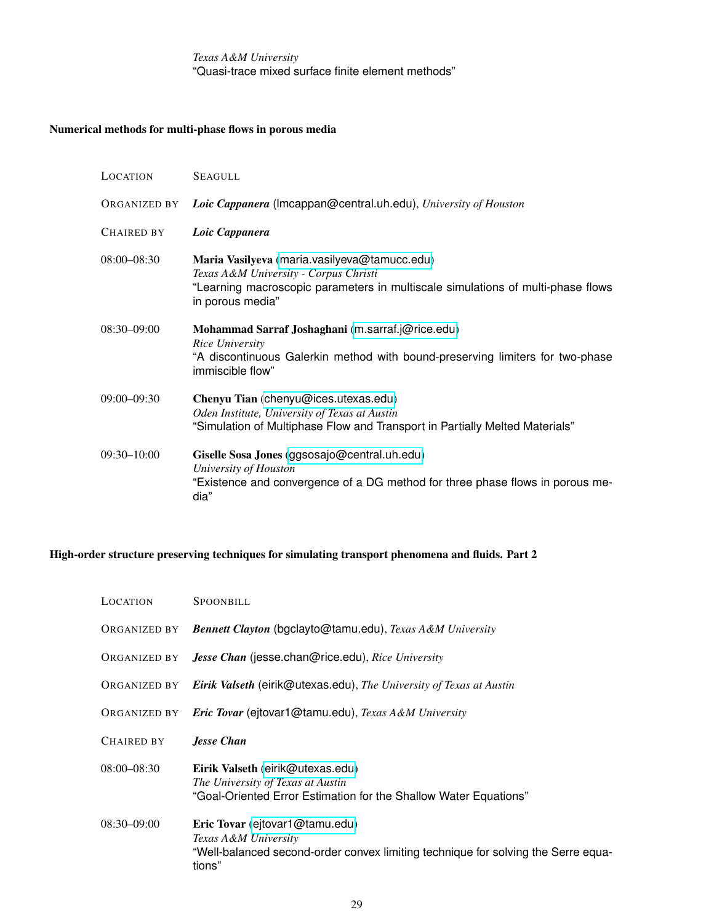*Texas A&M University* "Quasi-trace mixed surface finite element methods"

#### <span id="page-28-0"></span>Numerical methods for multi-phase flows in porous media

| LOCATION        | <b>SEAGULL</b>                                                                                                                                                                               |
|-----------------|----------------------------------------------------------------------------------------------------------------------------------------------------------------------------------------------|
| ORGANIZED BY    | Loic Cappanera (Imcappan@central.uh.edu), University of Houston                                                                                                                              |
| CHAIRED BY      | Loic Cappanera                                                                                                                                                                               |
| $08:00 - 08:30$ | Maria Vasilyeva (maria.vasilyeva@tamucc.edu)<br>Texas A&M University - Corpus Christi<br>"Learning macroscopic parameters in multiscale simulations of multi-phase flows<br>in porous media" |
| $08:30 - 09:00$ | Mohammad Sarraf Joshaghani (m.sarraf.j@rice.edu)<br>Rice University<br>"A discontinuous Galerkin method with bound-preserving limiters for two-phase<br>immiscible flow"                     |
| $09:00 - 09:30$ | Chenyu Tian (chenyu@ices.utexas.edu)<br>Oden Institute, University of Texas at Austin<br>"Simulation of Multiphase Flow and Transport in Partially Melted Materials"                         |
| $09:30 - 10:00$ | Giselle Sosa Jones (ggsosajo@central.uh.edu)<br>University of Houston<br>"Existence and convergence of a DG method for three phase flows in porous me-<br>dia"                               |

#### <span id="page-28-1"></span>High-order structure preserving techniques for simulating transport phenomena and fluids. Part 2

| LOCATION        | <b>SPOONBILL</b>                                                                                                                                      |
|-----------------|-------------------------------------------------------------------------------------------------------------------------------------------------------|
| ORGANIZED BY    | <b>Bennett Clayton (bgclayto@tamu.edu), Texas A&amp;M University</b>                                                                                  |
| ORGANIZED BY    | Jesse Chan (jesse.chan@rice.edu), Rice University                                                                                                     |
|                 | ORGANIZED BY Eirik Valseth (eirik@utexas.edu), The University of Texas at Austin                                                                      |
| ORGANIZED BY    | <b>Eric Tovar (ejtovar1@tamu.edu), Texas A&amp;M University</b>                                                                                       |
| CHAIRED BY      | <b>Jesse Chan</b>                                                                                                                                     |
| $08:00 - 08:30$ | Eirik Valseth (eirik@utexas.edu)<br>The University of Texas at Austin<br>"Goal-Oriented Error Estimation for the Shallow Water Equations"             |
| $08:30 - 09:00$ | Eric Tovar (ejtovar1@tamu.edu)<br>Texas A&M University<br>"Well-balanced second-order convex limiting technique for solving the Serre equa-<br>tions" |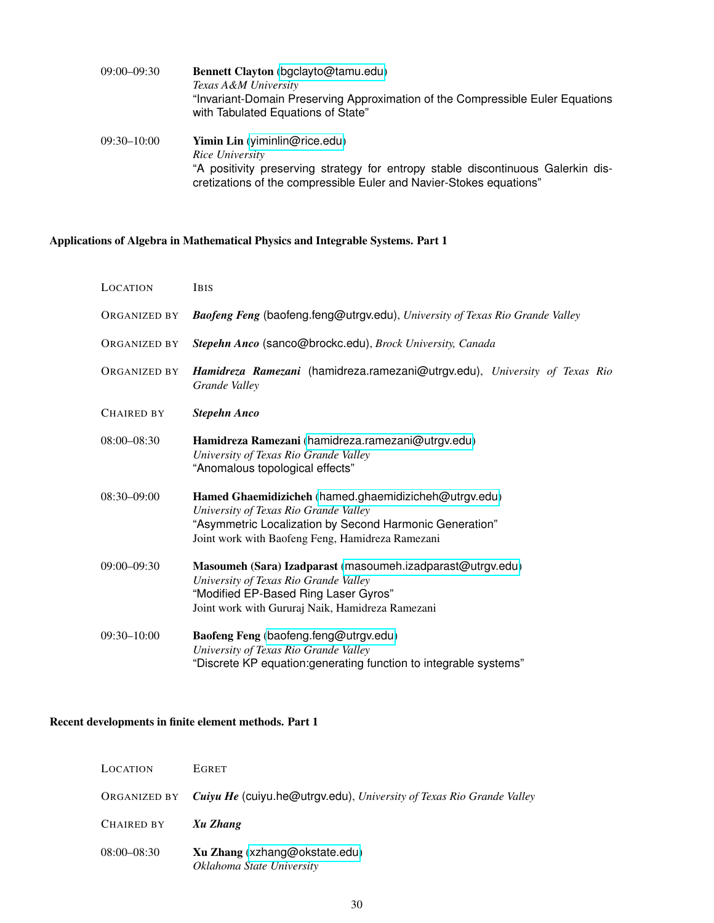| $09:00 - 09:30$ | Bennett Clayton (bgclayto@tamu.edu)                                                                                                                     |
|-----------------|---------------------------------------------------------------------------------------------------------------------------------------------------------|
|                 | Texas A&M University                                                                                                                                    |
|                 | "Invariant-Domain Preserving Approximation of the Compressible Euler Equations<br>with Tabulated Equations of State"                                    |
| $09:30 - 10:00$ | <b>Yimin Lin</b> (yiminlin@rice.edu)<br>Rice University                                                                                                 |
|                 |                                                                                                                                                         |
|                 | "A positivity preserving strategy for entropy stable discontinuous Galerkin dis-<br>cretizations of the compressible Euler and Navier-Stokes equations" |

# <span id="page-29-0"></span>Applications of Algebra in Mathematical Physics and Integrable Systems. Part 1

| LOCATION          | <b>IBIS</b>                                                                                                                                                                                                   |
|-------------------|---------------------------------------------------------------------------------------------------------------------------------------------------------------------------------------------------------------|
| ORGANIZED BY      | Baofeng Feng (baofeng.feng@utrgv.edu), University of Texas Rio Grande Valley                                                                                                                                  |
| ORGANIZED BY      | Stepehn Anco (sanco@brockc.edu), Brock University, Canada                                                                                                                                                     |
| ORGANIZED BY      | Hamidreza Ramezani (hamidreza.ramezani@utrgv.edu), University of Texas Rio<br>Grande Valley                                                                                                                   |
| <b>CHAIRED BY</b> | <b>Stepehn Anco</b>                                                                                                                                                                                           |
| 08:00-08:30       | Hamidreza Ramezani (hamidreza.ramezani@utrgv.edu)<br>University of Texas Rio Grande Valley<br>"Anomalous topological effects"                                                                                 |
| 08:30-09:00       | Hamed Ghaemidizicheh (hamed.ghaemidizicheh@utrgv.edu)<br>University of Texas Rio Grande Valley<br>"Asymmetric Localization by Second Harmonic Generation"<br>Joint work with Baofeng Feng, Hamidreza Ramezani |
| 09:00-09:30       | Masoumeh (Sara) Izadparast (masoumeh.izadparast@utrgv.edu)<br>University of Texas Rio Grande Valley<br>"Modified EP-Based Ring Laser Gyros"<br>Joint work with Gururaj Naik, Hamidreza Ramezani               |
| 09:30-10:00       | Baofeng Feng (baofeng.feng@utrgv.edu)<br>University of Texas Rio Grande Valley<br>"Discrete KP equation: generating function to integrable systems"                                                           |

### <span id="page-29-1"></span>Recent developments in finite element methods. Part 1

| LOCATION        | <b>EGRET</b>                                                                      |
|-----------------|-----------------------------------------------------------------------------------|
|                 | ORGANIZED BY Cuiyu He (cuiyu.he@utrgv.edu), University of Texas Rio Grande Valley |
| CHAIRED BY      | Xu Zhang                                                                          |
| $08:00 - 08:30$ | Xu Zhang (xzhang@okstate.edu)<br>Oklahoma State University                        |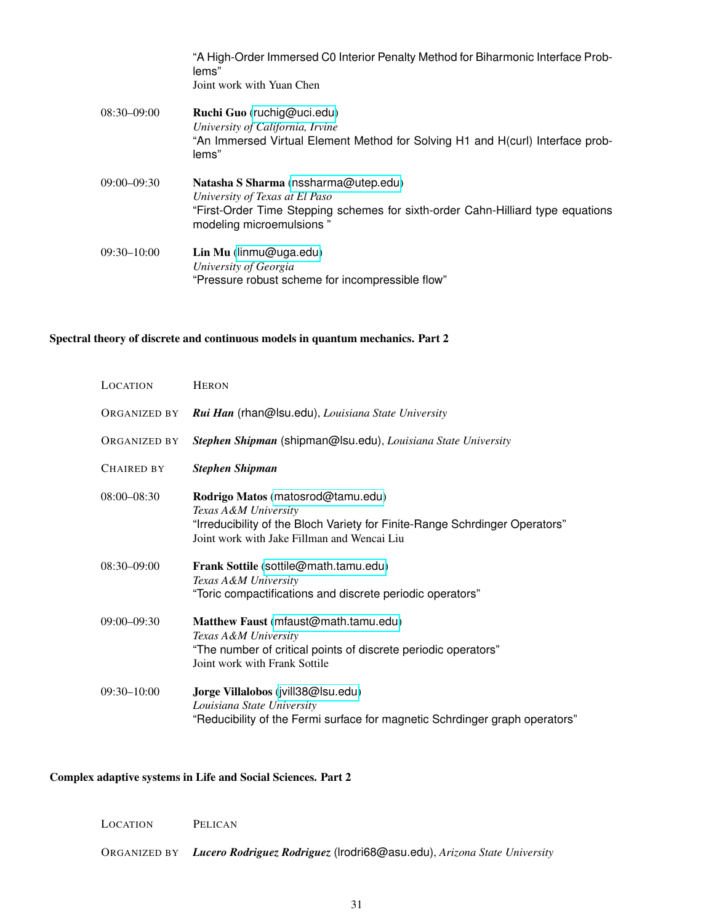|                 | "A High-Order Immersed C0 Interior Penalty Method for Biharmonic Interface Prob-<br>lems"<br>Joint work with Yuan Chen                                                                |
|-----------------|---------------------------------------------------------------------------------------------------------------------------------------------------------------------------------------|
| $08:30 - 09:00$ | Ruchi Guo (ruchig@uci.edu)<br>University of California, Irvine<br>"An Immersed Virtual Element Method for Solving H1 and H(curl) Interface prob-<br>lems"                             |
| $09:00 - 09:30$ | Natasha S Sharma (nssharma@utep.edu)<br>University of Texas at El Paso<br>"First-Order Time Stepping schemes for sixth-order Cahn-Hilliard type equations<br>modeling microemulsions" |
| $09:30 - 10:00$ | Lin Mu (linmu@uga.edu)<br>University of Georgia<br>"Pressure robust scheme for incompressible flow"                                                                                   |

### <span id="page-30-0"></span>Spectral theory of discrete and continuous models in quantum mechanics. Part 2

| <b>LOCATION</b> | <b>HERON</b>                                                                                                                                                                            |
|-----------------|-----------------------------------------------------------------------------------------------------------------------------------------------------------------------------------------|
| ORGANIZED BY    | Rui Han (rhan@lsu.edu), Louisiana State University                                                                                                                                      |
| ORGANIZED BY    | Stephen Shipman (shipman@lsu.edu), Louisiana State University                                                                                                                           |
| CHAIRED BY      | <b>Stephen Shipman</b>                                                                                                                                                                  |
| $08:00 - 08:30$ | Rodrigo Matos (matosrod@tamu.edu)<br>Texas A&M University<br>"Irreducibility of the Bloch Variety for Finite-Range Schrdinger Operators"<br>Joint work with Jake Fillman and Wencai Liu |
| $08:30 - 09:00$ | Frank Sottile (sottile@math.tamu.edu)<br>Texas A&M University<br>"Toric compactifications and discrete periodic operators"                                                              |
| $09:00 - 09:30$ | Matthew Faust (mfaust@math.tamu.edu)<br>Texas A&M University<br>"The number of critical points of discrete periodic operators"<br>Joint work with Frank Sottile                         |
| 09:30-10:00     | Jorge Villalobos (jvill38@lsu.edu)<br>Louisiana State University<br>"Reducibility of the Fermi surface for magnetic Schrdinger graph operators"                                         |

### <span id="page-30-1"></span>Complex adaptive systems in Life and Social Sciences. Part 2

| LOCATION | PELICAN |
|----------|---------|
|          |         |

ORGANIZED BY *Lucero Rodriguez Rodriguez* (lrodri68@asu.edu), *Arizona State University*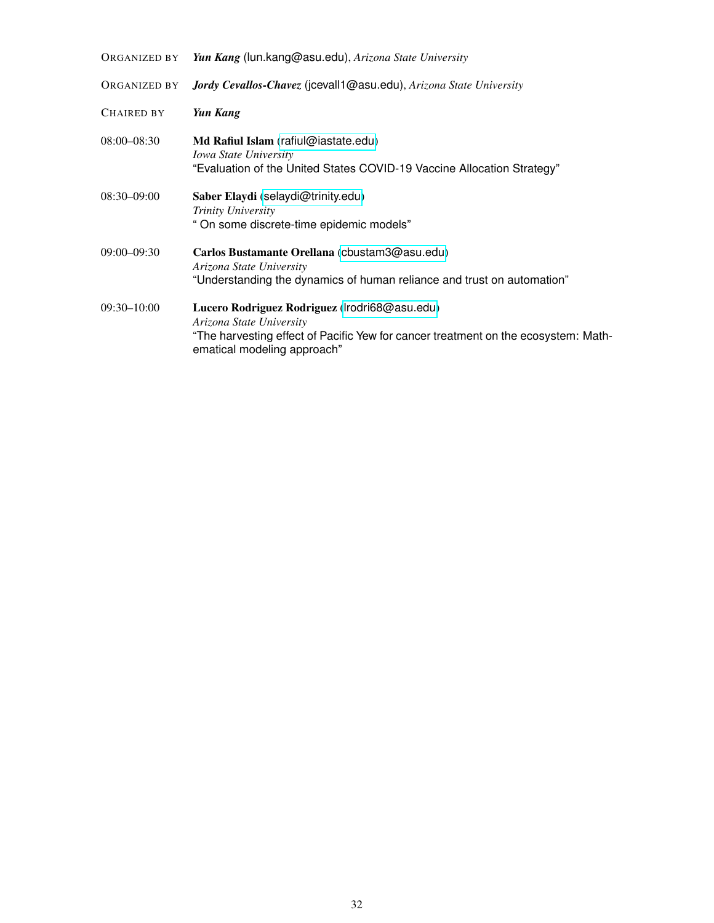| ORGANIZED BY        | Yun Kang (lun.kang@asu.edu), Arizona State University                                                                                                                                          |
|---------------------|------------------------------------------------------------------------------------------------------------------------------------------------------------------------------------------------|
| <b>ORGANIZED BY</b> | Jordy Cevallos-Chavez (jcevall1@asu.edu), Arizona State University                                                                                                                             |
| <b>CHAIRED BY</b>   | Yun Kang                                                                                                                                                                                       |
| $08:00 - 08:30$     | Md Rafiul Islam (rafiul@iastate.edu)<br><b>Iowa State University</b><br>"Evaluation of the United States COVID-19 Vaccine Allocation Strategy"                                                 |
| $08:30-09:00$       | Saber Elaydi (selaydi@trinity.edu)<br>Trinity University<br>"On some discrete-time epidemic models"                                                                                            |
| $09:00 - 09:30$     | Carlos Bustamante Orellana (cbustam3@asu.edu)<br>Arizona State University<br>"Understanding the dynamics of human reliance and trust on automation"                                            |
| $09:30 - 10:00$     | Lucero Rodriguez Rodriguez (Irodri68@asu.edu)<br>Arizona State University<br>"The harvesting effect of Pacific Yew for cancer treatment on the ecosystem: Math-<br>ematical modeling approach" |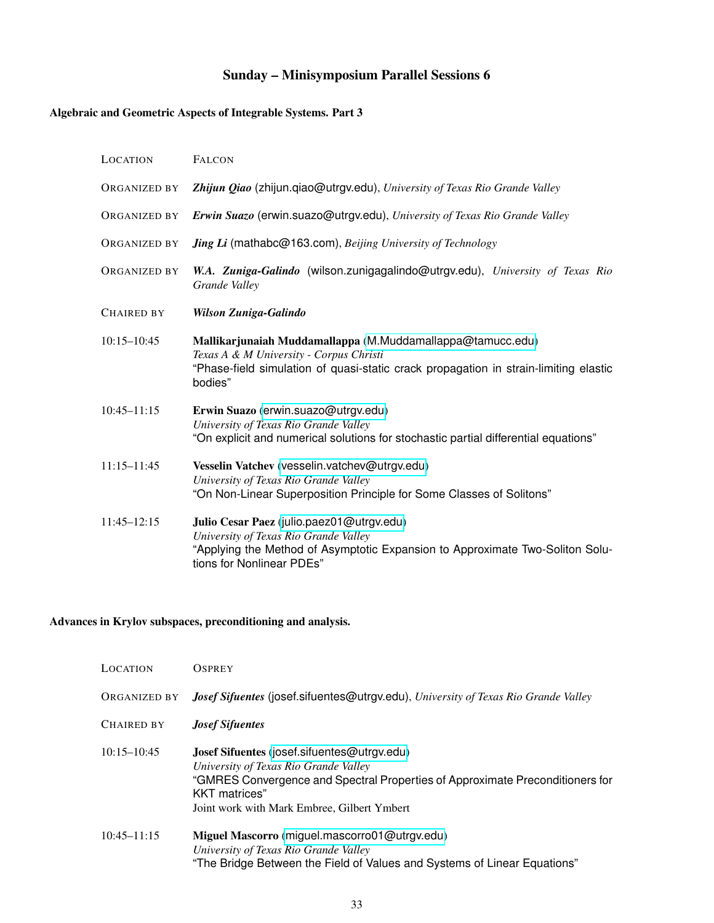# Sunday – Minisymposium Parallel Sessions 6

### <span id="page-32-1"></span><span id="page-32-0"></span>Algebraic and Geometric Aspects of Integrable Systems. Part 3

| LOCATION          | <b>FALCON</b>                                                                                                                                                                                            |
|-------------------|----------------------------------------------------------------------------------------------------------------------------------------------------------------------------------------------------------|
| ORGANIZED BY      | Zhijun Qiao (zhijun.qiao@utrgv.edu), University of Texas Rio Grande Valley                                                                                                                               |
| ORGANIZED BY      | Erwin Suazo (erwin.suazo@utrgv.edu), University of Texas Rio Grande Valley                                                                                                                               |
| ORGANIZED BY      | <b>Jing Li</b> (mathabc@163.com), Beijing University of Technology                                                                                                                                       |
| ORGANIZED BY      | W.A. Zuniga-Galindo (wilson.zunigagalindo@utrgv.edu), University of Texas Rio<br>Grande Valley                                                                                                           |
| <b>CHAIRED BY</b> | Wilson Zuniga-Galindo                                                                                                                                                                                    |
| $10:15 - 10:45$   | Mallikarjunaiah Muddamallappa (M.Muddamallappa@tamucc.edu)<br>Texas A & M University - Corpus Christi<br>"Phase-field simulation of quasi-static crack propagation in strain-limiting elastic<br>bodies" |
| $10:45 - 11:15$   | Erwin Suazo (erwin.suazo@utrgv.edu)<br>University of Texas Rio Grande Valley<br>"On explicit and numerical solutions for stochastic partial differential equations"                                      |
| $11:15 - 11:45$   | Vesselin Vatchev (vesselin.vatchev@utrgv.edu)<br>University of Texas Rio Grande Valley<br>"On Non-Linear Superposition Principle for Some Classes of Solitons"                                           |
| $11:45 - 12:15$   | Julio Cesar Paez (julio.paez01@utrgv.edu)<br>University of Texas Rio Grande Valley<br>"Applying the Method of Asymptotic Expansion to Approximate Two-Soliton Solu-<br>tions for Nonlinear PDEs"         |

#### <span id="page-32-2"></span>Advances in Krylov subspaces, preconditioning and analysis.

| LOCATION        | <b>OSPREY</b>                                                                                                                                                                                                                         |
|-----------------|---------------------------------------------------------------------------------------------------------------------------------------------------------------------------------------------------------------------------------------|
| ORGANIZED BY    | <b>Josef Sifuentes (josef.sifuentes@utrgv.edu), University of Texas Rio Grande Valley</b>                                                                                                                                             |
| Chaired by      | <b>Josef Sifuentes</b>                                                                                                                                                                                                                |
| $10:15 - 10:45$ | Josef Sifuentes (josef.sifuentes@utrgv.edu)<br>University of Texas Rio Grande Valley<br>"GMRES Convergence and Spectral Properties of Approximate Preconditioners for<br>KKT matrices"<br>Joint work with Mark Embree, Gilbert Ymbert |
| $10:45 - 11:15$ | Miguel Mascorro (miguel.mascorro01@utrgv.edu)<br>University of Texas Rio Grande Valley<br>"The Bridge Between the Field of Values and Systems of Linear Equations"                                                                    |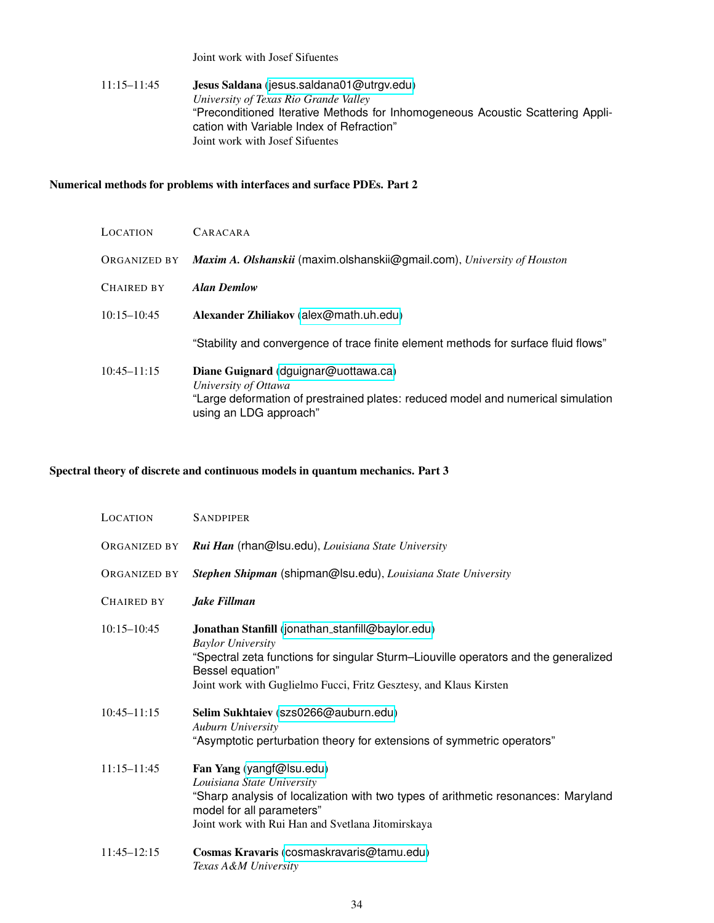Joint work with Josef Sifuentes

#### 11:15–11:45 Jesus Saldana ([jesus.saldana01@utrgv.edu](mailto:jesus.saldana01@utrgv.edu)) *University of Texas Rio Grande Valley* "Preconditioned Iterative Methods for Inhomogeneous Acoustic Scattering Application with Variable Index of Refraction" Joint work with Josef Sifuentes

#### <span id="page-33-0"></span>Numerical methods for problems with interfaces and surface PDEs. Part 2

| <b>LOCATION</b>   | CARACARA                                                                                                                                                                   |
|-------------------|----------------------------------------------------------------------------------------------------------------------------------------------------------------------------|
| ORGANIZED BY      | Maxim A. Olshanskii (maxim.olshanskii@gmail.com), University of Houston                                                                                                    |
| <b>CHAIRED BY</b> | <b>Alan Demlow</b>                                                                                                                                                         |
| $10:15 - 10:45$   | Alexander Zhiliakov (alex@math.uh.edu)                                                                                                                                     |
|                   | "Stability and convergence of trace finite element methods for surface fluid flows"                                                                                        |
| $10:45 - 11:15$   | Diane Guignard (dguignar@uottawa.ca)<br>University of Ottawa<br>"Large deformation of prestrained plates: reduced model and numerical simulation<br>using an LDG approach" |

#### <span id="page-33-1"></span>Spectral theory of discrete and continuous models in quantum mechanics. Part 3

| <b>LOCATION</b>     | <b>SANDPIPER</b>                                                                                                                                                                                                                                              |
|---------------------|---------------------------------------------------------------------------------------------------------------------------------------------------------------------------------------------------------------------------------------------------------------|
| ORGANIZED BY        | Rui Han (rhan@lsu.edu), Louisiana State University                                                                                                                                                                                                            |
| <b>ORGANIZED BY</b> | Stephen Shipman (shipman@lsu.edu), Louisiana State University                                                                                                                                                                                                 |
| <b>CHAIRED BY</b>   | Jake Fillman                                                                                                                                                                                                                                                  |
| $10:15 - 10:45$     | Jonathan Stanfill (jonathan_stanfill@baylor.edu)<br><b>Baylor University</b><br>"Spectral zeta functions for singular Sturm-Liouville operators and the generalized<br>Bessel equation"<br>Joint work with Guglielmo Fucci, Fritz Gesztesy, and Klaus Kirsten |
| $10:45 - 11:15$     | Selim Sukhtaiev (szs0266@auburn.edu)<br>Auburn University<br>"Asymptotic perturbation theory for extensions of symmetric operators"                                                                                                                           |
| $11:15 - 11:45$     | Fan Yang (yangf@lsu.edu)<br>Louisiana State University<br>"Sharp analysis of localization with two types of arithmetic resonances: Maryland<br>model for all parameters"<br>Joint work with Rui Han and Svetlana Jitomirskaya                                 |
| $11:45 - 12:15$     | Cosmas Kravaris (cosmaskravaris@tamu.edu)<br>Texas A&M University                                                                                                                                                                                             |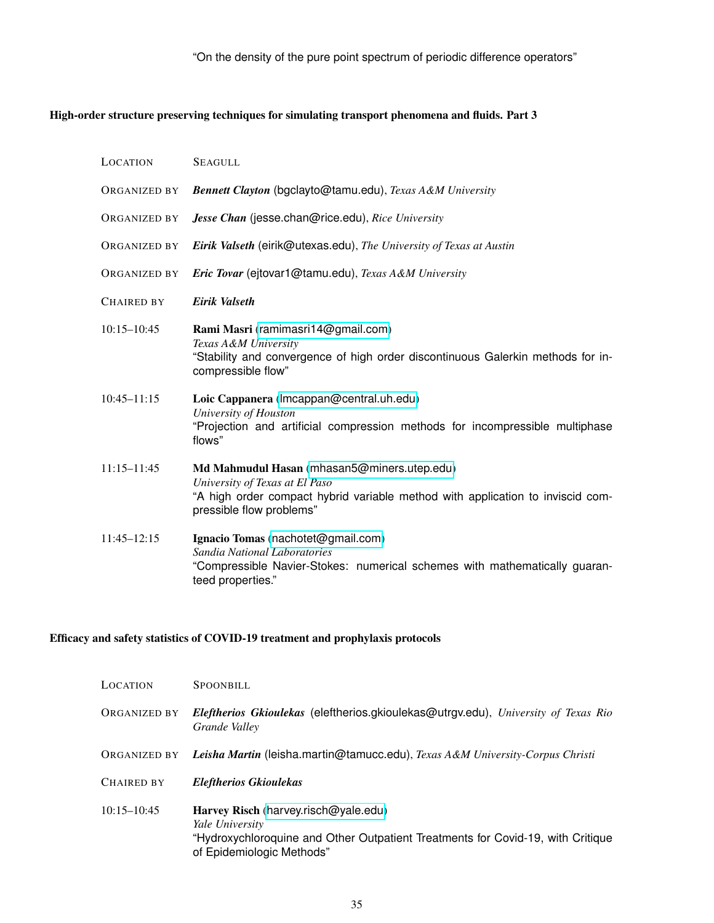#### <span id="page-34-0"></span>High-order structure preserving techniques for simulating transport phenomena and fluids. Part 3

| LOCATION        | <b>SEAGULL</b>                                                                                                                                                                              |
|-----------------|---------------------------------------------------------------------------------------------------------------------------------------------------------------------------------------------|
| ORGANIZED BY    | Bennett Clayton (bgclayto@tamu.edu), Texas A&M University                                                                                                                                   |
| ORGANIZED BY    | Jesse Chan (jesse.chan@rice.edu), Rice University                                                                                                                                           |
| ORGANIZED BY    | Eirik Valseth (eirik@utexas.edu), The University of Texas at Austin                                                                                                                         |
| ORGANIZED BY    | Eric Tovar (ejtovar1@tamu.edu), Texas A&M University                                                                                                                                        |
| CHAIRED BY      | Eirik Valseth                                                                                                                                                                               |
| $10:15 - 10:45$ | Rami Masri (ramimasri14@gmail.com)<br>Texas A&M University<br>"Stability and convergence of high order discontinuous Galerkin methods for in-<br>compressible flow"                         |
| $10:45 - 11:15$ | Loic Cappanera (Imcappan@central.uh.edu)<br>University of Houston<br>"Projection and artificial compression methods for incompressible multiphase<br>flows"                                 |
| $11:15 - 11:45$ | Md Mahmudul Hasan (mhasan5@miners.utep.edu)<br>University of Texas at El Paso<br>"A high order compact hybrid variable method with application to inviscid com-<br>pressible flow problems" |
| 11:45-12:15     | Ignacio Tomas (nachotet@gmail.com)<br>Sandia National Laboratories<br>"Compressible Navier-Stokes: numerical schemes with mathematically guaran-<br>teed properties."                       |

#### <span id="page-34-1"></span>Efficacy and safety statistics of COVID-19 treatment and prophylaxis protocols

| LOCATION        | <b>SPOONBILL</b>                                                                                                                                                        |
|-----------------|-------------------------------------------------------------------------------------------------------------------------------------------------------------------------|
| ORGANIZED BY    | Eleftherios Gkioulekas (eleftherios.gkioulekas@utrgv.edu), University of Texas Rio<br>Grande Valley                                                                     |
| ORGANIZED BY    | Leisha Martin (leisha.martin@tamucc.edu), Texas A&M University-Corpus Christi                                                                                           |
| CHAIRED BY      | <b>Eleftherios Gkioulekas</b>                                                                                                                                           |
| $10:15 - 10:45$ | Harvey Risch (harvey.risch@yale.edu)<br>Yale University<br>"Hydroxychloroquine and Other Outpatient Treatments for Covid-19, with Critique<br>of Epidemiologic Methods" |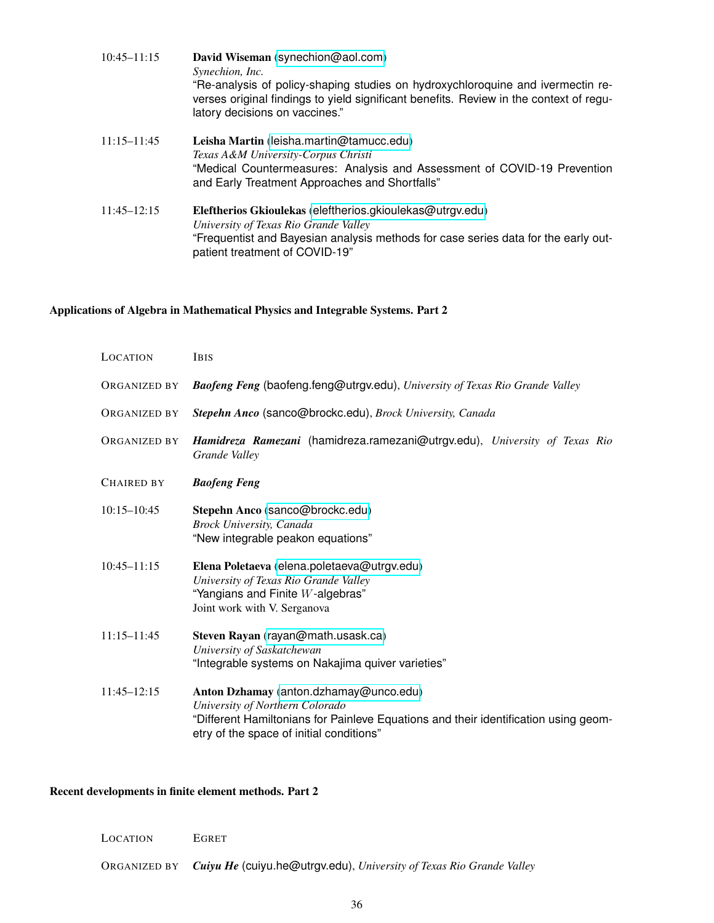| $10:45 - 11:15$ | David Wiseman (synechion@aol.com)<br>Synechion, Inc.<br>"Re-analysis of policy-shaping studies on hydroxychloroquine and ivermectin re-<br>verses original findings to yield significant benefits. Review in the context of regu-<br>latory decisions on vaccines." |
|-----------------|---------------------------------------------------------------------------------------------------------------------------------------------------------------------------------------------------------------------------------------------------------------------|
| $11:15 - 11:45$ | Leisha Martin (leisha.martin@tamucc.edu)<br>Texas A&M University-Corpus Christi<br>"Medical Countermeasures: Analysis and Assessment of COVID-19 Prevention<br>and Early Treatment Approaches and Shortfalls"                                                       |
| $11:45 - 12:15$ | Eleftherios Gkioulekas (eleftherios.gkioulekas@utrgv.edu)<br>University of Texas Rio Grande Valley<br>"Frequentist and Bayesian analysis methods for case series data for the early out-<br>patient treatment of COVID-19"                                          |

# <span id="page-35-0"></span>Applications of Algebra in Mathematical Physics and Integrable Systems. Part 2

| LOCATION            | <b>IBIS</b>                                                                                                                                                                                                  |
|---------------------|--------------------------------------------------------------------------------------------------------------------------------------------------------------------------------------------------------------|
| ORGANIZED BY        | Baofeng Feng (baofeng.feng@utrgv.edu), University of Texas Rio Grande Valley                                                                                                                                 |
| ORGANIZED BY        | Stepehn Anco (sanco@brockc.edu), Brock University, Canada                                                                                                                                                    |
| <b>ORGANIZED BY</b> | Hamidreza Ramezani (hamidreza.ramezani@utrgv.edu), University of Texas Rio<br>Grande Valley                                                                                                                  |
| CHAIRED BY          | <b>Baofeng Feng</b>                                                                                                                                                                                          |
| $10:15 - 10:45$     | Stepehn Anco (sanco@brockc.edu)<br><b>Brock University, Canada</b><br>"New integrable peakon equations"                                                                                                      |
| $10:45 - 11:15$     | Elena Poletaeva (elena.poletaeva@utrgv.edu)<br>University of Texas Rio Grande Valley<br>"Yangians and Finite $W$ -algebras"<br>Joint work with V. Serganova                                                  |
| 11:15-11:45         | Steven Rayan (rayan@math.usask.ca)<br>University of Saskatchewan<br>"Integrable systems on Nakajima quiver varieties"                                                                                        |
| 11:45-12:15         | Anton Dzhamay (anton.dzhamay@unco.edu)<br>University of Northern Colorado<br>"Different Hamiltonians for Painleve Equations and their identification using geom-<br>etry of the space of initial conditions" |

# <span id="page-35-1"></span>Recent developments in finite element methods. Part 2

| <b>LOCATION</b> | <b>EGRET</b>                                                                      |
|-----------------|-----------------------------------------------------------------------------------|
|                 | ORGANIZED BY Cuiyu He (cuiyu.he@utrgv.edu), University of Texas Rio Grande Valley |